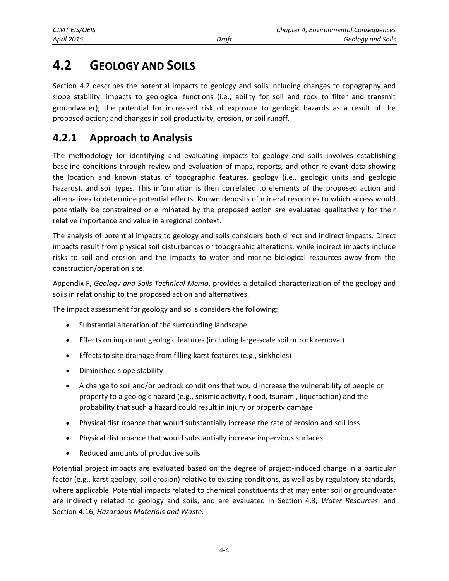# **4.2 GEOLOGY AND SOILS**

Section 4.2 describes the potential impacts to geology and soils including changes to topography and slope stability; impacts to geological functions (i.e., ability for soil and rock to filter and transmit groundwater); the potential for increased risk of exposure to geologic hazards as a result of the proposed action; and changes in soil productivity, erosion, or soil runoff.

## **4.2.1 Approach to Analysis**

The methodology for identifying and evaluating impacts to geology and soils involves establishing baseline conditions through review and evaluation of maps, reports, and other relevant data showing the location and known status of topographic features, geology (i.e., geologic units and geologic hazards), and soil types. This information is then correlated to elements of the proposed action and alternatives to determine potential effects. Known deposits of mineral resources to which access would potentially be constrained or eliminated by the proposed action are evaluated qualitatively for their relative importance and value in a regional context.

The analysis of potential impacts to geology and soils considers both direct and indirect impacts. Direct impacts result from physical soil disturbances or topographic alterations, while indirect impacts include risks to soil and erosion and the impacts to water and marine biological resources away from the construction/operation site.

Appendix F, *Geology and Soils Technical Memo*, provides a detailed characterization of the geology and soils in relationship to the proposed action and alternatives.

The impact assessment for geology and soils considers the following:

- Substantial alteration of the surrounding landscape
- Effects on important geologic features (including large-scale soil or rock removal)
- Effects to site drainage from filling karst features (e.g., sinkholes)
- Diminished slope stability
- A change to soil and/or bedrock conditions that would increase the vulnerability of people or property to a geologic hazard (e.g., seismic activity, flood, tsunami, liquefaction) and the probability that such a hazard could result in injury or property damage
- Physical disturbance that would substantially increase the rate of erosion and soil loss
- Physical disturbance that would substantially increase impervious surfaces
- Reduced amounts of productive soils

Potential project impacts are evaluated based on the degree of project-induced change in a particular factor (e.g., karst geology, soil erosion) relative to existing conditions, as well as by regulatory standards, where applicable. Potential impacts related to chemical constituents that may enter soil or groundwater are indirectly related to geology and soils, and are evaluated in Section 4.3, *Water Resources*, and Section 4.16, *Hazardous Materials and Waste*.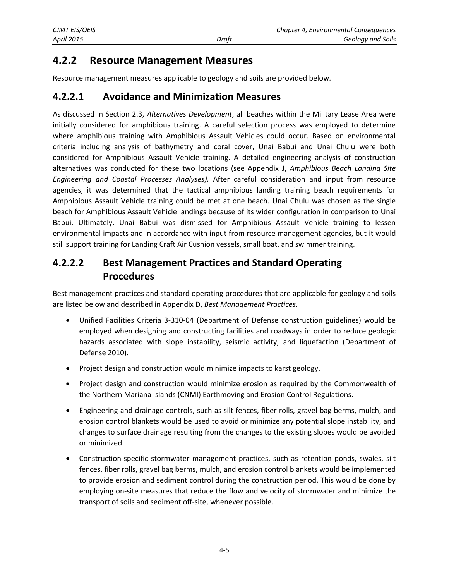## <span id="page-1-0"></span>**4.2.2 Resource Management Measures**

Resource management measures applicable to geology and soils are provided below.

## **4.2.2.1 Avoidance and Minimization Measures**

As discussed in Section 2.3, *Alternatives Development*, all beaches within the Military Lease Area were initially considered for amphibious training. A careful selection process was employed to determine where amphibious training with Amphibious Assault Vehicles could occur. Based on environmental criteria including analysis of bathymetry and coral cover, Unai Babui and Unai Chulu were both considered for Amphibious Assault Vehicle training. A detailed engineering analysis of construction alternatives was conducted for these two locations (see Appendix J, *Amphibious Beach Landing Site Engineering and Coastal Processes Analyses).* After careful consideration and input from resource agencies, it was determined that the tactical amphibious landing training beach requirements for Amphibious Assault Vehicle training could be met at one beach. Unai Chulu was chosen as the single beach for Amphibious Assault Vehicle landings because of its wider configuration in comparison to Unai Babui. Ultimately, Unai Babui was dismissed for Amphibious Assault Vehicle training to lessen environmental impacts and in accordance with input from resource management agencies, but it would still support training for Landing Craft Air Cushion vessels, small boat, and swimmer training.

## **4.2.2.2 Best Management Practices and Standard Operating Procedures**

Best management practices and standard operating procedures that are applicable for geology and soils are listed below and described in Appendix D, *Best Management Practices*.

- Unified Facilities Criteria 3-310-04 (Department of Defense construction guidelines) would be employed when designing and constructing facilities and roadways in order to reduce geologic hazards associated with slope instability, seismic activity, and liquefaction (Department of Defense 2010).
- Project design and construction would minimize impacts to karst geology.
- Project design and construction would minimize erosion as required by the Commonwealth of the Northern Mariana Islands (CNMI) Earthmoving and Erosion Control Regulations.
- Engineering and drainage controls, such as silt fences, fiber rolls, gravel bag berms, mulch, and erosion control blankets would be used to avoid or minimize any potential slope instability, and changes to surface drainage resulting from the changes to the existing slopes would be avoided or minimized.
- Construction-specific stormwater management practices, such as retention ponds, swales, silt fences, fiber rolls, gravel bag berms, mulch, and erosion control blankets would be implemented to provide erosion and sediment control during the construction period. This would be done by employing on-site measures that reduce the flow and velocity of stormwater and minimize the transport of soils and sediment off-site, whenever possible.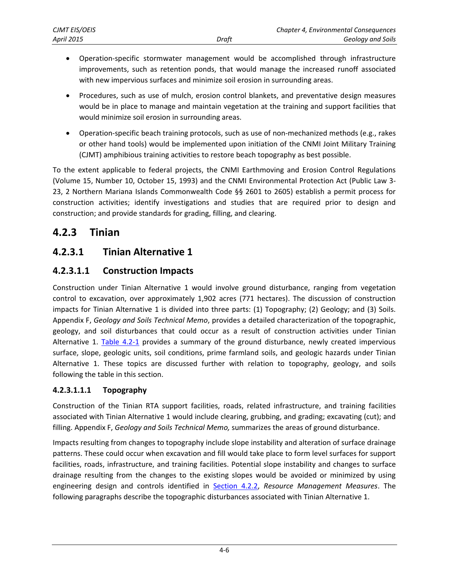- Operation-specific stormwater management would be accomplished through infrastructure improvements, such as retention ponds, that would manage the increased runoff associated with new impervious surfaces and minimize soil erosion in surrounding areas.
- Procedures, such as use of mulch, erosion control blankets, and preventative design measures would be in place to manage and maintain vegetation at the training and support facilities that would minimize soil erosion in surrounding areas.
- Operation-specific beach training protocols, such as use of non-mechanized methods (e.g., rakes or other hand tools) would be implemented upon initiation of the CNMI Joint Military Training (CJMT) amphibious training activities to restore beach topography as best possible.

To the extent applicable to federal projects, the CNMI Earthmoving and Erosion Control Regulations (Volume 15, Number 10, October 15, 1993) and the CNMI Environmental Protection Act (Public Law 3- 23, 2 Northern Mariana Islands Commonwealth Code §§ 2601 to 2605) establish a permit process for construction activities; identify investigations and studies that are required prior to design and construction; and provide standards for grading, filling, and clearing.

## **4.2.3 Tinian**

## <span id="page-2-0"></span>**4.2.3.1 Tinian Alternative 1**

## **4.2.3.1.1 Construction Impacts**

Construction under Tinian Alternative 1 would involve ground disturbance, ranging from vegetation control to excavation, over approximately 1,902 acres (771 hectares). The discussion of construction impacts for Tinian Alternative 1 is divided into three parts: (1) Topography; (2) Geology; and (3) Soils. Appendix F, *Geology and Soils Technical Memo*, provides a detailed characterization of the topographic, geology, and soil disturbances that could occur as a result of construction activities under Tinian Alternative 1. [Table 4.2-1](#page-3-0) provides a summary of the ground disturbance, newly created impervious surface, slope, geologic units, soil conditions, prime farmland soils, and geologic hazards under Tinian Alternative 1. These topics are discussed further with relation to topography, geology, and soils following the table in this section.

### **4.2.3.1.1.1 Topography**

Construction of the Tinian RTA support facilities, roads, related infrastructure, and training facilities associated with Tinian Alternative 1 would include clearing, grubbing, and grading; excavating (cut); and filling. Appendix F, *Geology and Soils Technical Memo,* summarizes the areas of ground disturbance.

Impacts resulting from changes to topography include slope instability and alteration of surface drainage patterns. These could occur when excavation and fill would take place to form level surfaces for support facilities, roads, infrastructure, and training facilities. Potential slope instability and changes to surface drainage resulting from the changes to the existing slopes would be avoided or minimized by using engineering design and controls identified in [Section 4.2.2,](#page-1-0) *Resource Management Measures*. The following paragraphs describe the topographic disturbances associated with Tinian Alternative 1.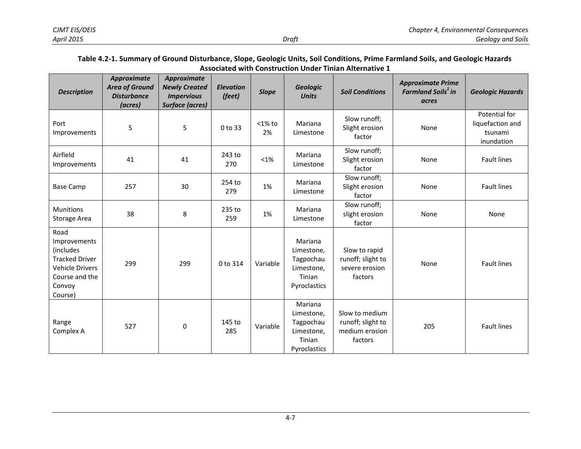#### **Table 4.2-1. Summary of Ground Disturbance, Slope, Geologic Units, Soil Conditions, Prime Farmland Soils, and Geologic Hazards Associated with Construction Under Tinian Alternative 1**

<span id="page-3-0"></span>

| <b>Description</b>                                                                                                          | <b>Approximate</b><br><b>Area of Ground</b><br><b>Disturbance</b><br>(acres) | Approximate<br><b>Newly Created</b><br><b>Impervious</b><br><b>Surface (acres)</b> | <b>Elevation</b><br>(feet) | <b>Slope</b>    | <b>Geologic</b><br><b>Units</b>                                            | <b>Soil Conditions</b>                                           | <b>Approximate Prime</b><br><b>Farmland Soils<sup>1</sup> in</b><br>acres | <b>Geologic Hazards</b>                                    |
|-----------------------------------------------------------------------------------------------------------------------------|------------------------------------------------------------------------------|------------------------------------------------------------------------------------|----------------------------|-----------------|----------------------------------------------------------------------------|------------------------------------------------------------------|---------------------------------------------------------------------------|------------------------------------------------------------|
| Port<br>Improvements                                                                                                        | 5                                                                            | 5                                                                                  | $0$ to 33                  | $<$ 1% to<br>2% | Mariana<br>Limestone                                                       | Slow runoff;<br>Slight erosion<br>factor                         | None                                                                      | Potential for<br>liquefaction and<br>tsunami<br>inundation |
| Airfield<br>Improvements                                                                                                    | 41                                                                           | 41                                                                                 | 243 to<br>270              | $< 1\%$         | Mariana<br>Limestone                                                       | Slow runoff;<br>Slight erosion<br>None<br>factor                 |                                                                           | <b>Fault lines</b>                                         |
| <b>Base Camp</b>                                                                                                            | 257                                                                          | 30                                                                                 | 254 to<br>279              | 1%              | Mariana<br>Limestone                                                       | Slow runoff;<br>Slight erosion<br>factor                         | None                                                                      | <b>Fault lines</b>                                         |
| <b>Munitions</b><br><b>Storage Area</b>                                                                                     | 38                                                                           | 8                                                                                  | 235 to<br>259              | 1%              | Mariana<br>Limestone                                                       | Slow runoff;<br>slight erosion<br>factor                         | None                                                                      | None                                                       |
| Road<br>Improvements<br>(includes<br><b>Tracked Driver</b><br><b>Vehicle Drivers</b><br>Course and the<br>Convoy<br>Course) | 299                                                                          | 299                                                                                | 0 to 314                   | Variable        | Mariana<br>Limestone,<br>Tagpochau<br>Limestone,<br>Tinian<br>Pyroclastics | Slow to rapid<br>runoff; slight to<br>severe erosion<br>factors  | None                                                                      | <b>Fault lines</b>                                         |
| Range<br>Complex A                                                                                                          | 527                                                                          | $\pmb{0}$                                                                          | 145 to<br>285              | Variable        | Mariana<br>Limestone,<br>Tagpochau<br>Limestone,<br>Tinian<br>Pyroclastics | Slow to medium<br>runoff; slight to<br>medium erosion<br>factors | 205                                                                       | <b>Fault lines</b>                                         |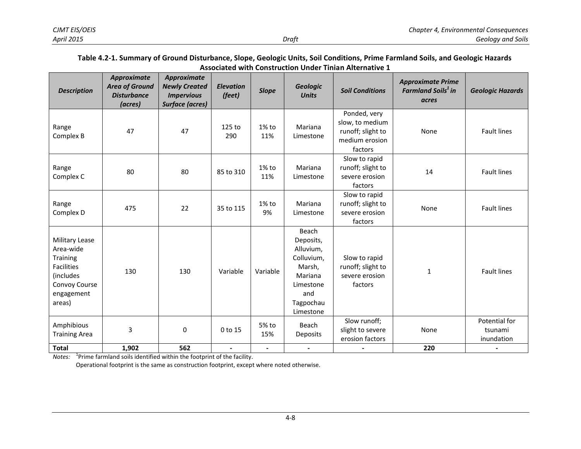#### **Table 4.2-1. Summary of Ground Disturbance, Slope, Geologic Units, Soil Conditions, Prime Farmland Soils, and Geologic Hazards Associated with Construction Under Tinian Alternative 1**

| <b>Description</b>                                                                                                               | Approximate<br><b>Area of Ground</b><br><b>Disturbance</b><br>(acres) | <b>Approximate</b><br><b>Newly Created</b><br><b>Impervious</b><br>Surface (acres) | <b>Elevation</b><br>(feet) | <b>Slope</b>    | <b>Geologic</b><br><b>Units</b>                                                                                  | <b>Soil Conditions</b>                                                            | <b>Approximate Prime</b><br><b>Farmland Soils<sup>1</sup> in</b><br>acres | <b>Geologic Hazards</b>                |
|----------------------------------------------------------------------------------------------------------------------------------|-----------------------------------------------------------------------|------------------------------------------------------------------------------------|----------------------------|-----------------|------------------------------------------------------------------------------------------------------------------|-----------------------------------------------------------------------------------|---------------------------------------------------------------------------|----------------------------------------|
| Range<br>Complex B                                                                                                               | 47                                                                    | 47                                                                                 | 125 to<br>290              | 1% to<br>11%    | Mariana<br>Limestone                                                                                             | Ponded, very<br>slow, to medium<br>runoff; slight to<br>medium erosion<br>factors | None                                                                      | <b>Fault lines</b>                     |
| Range<br>Complex C                                                                                                               | 80                                                                    | 80                                                                                 | 85 to 310                  | $1\%$ to<br>11% | Mariana<br>Limestone                                                                                             | Slow to rapid<br>runoff; slight to<br>severe erosion<br>factors                   | 14                                                                        | <b>Fault lines</b>                     |
| Range<br>Complex D                                                                                                               | 475                                                                   | 22                                                                                 | 35 to 115                  | 1% to<br>9%     | Mariana<br>Limestone                                                                                             | Slow to rapid<br>runoff; slight to<br>severe erosion<br>factors                   | None                                                                      | <b>Fault lines</b>                     |
| <b>Military Lease</b><br>Area-wide<br><b>Training</b><br><b>Facilities</b><br>(includes<br>Convoy Course<br>engagement<br>areas) | 130                                                                   | 130                                                                                | Variable                   | Variable        | Beach<br>Deposits,<br>Alluvium,<br>Colluvium,<br>Marsh,<br>Mariana<br>Limestone<br>and<br>Tagpochau<br>Limestone | Slow to rapid<br>runoff; slight to<br>severe erosion<br>factors                   | $\mathbf{1}$                                                              | <b>Fault lines</b>                     |
| Amphibious<br><b>Training Area</b>                                                                                               | $\overline{3}$                                                        | 0                                                                                  | 0 to 15                    | 5% to<br>15%    | Beach<br>Deposits                                                                                                | Slow runoff;<br>slight to severe<br>erosion factors                               | None                                                                      | Potential for<br>tsunami<br>inundation |
| <b>Total</b>                                                                                                                     | 1,902                                                                 | 562                                                                                | $\blacksquare$             | $\blacksquare$  | $\blacksquare$                                                                                                   |                                                                                   | 220                                                                       |                                        |

*Notes:* <sup>1</sup> Prime farmland soils identified within the footprint of the facility.

Operational footprint is the same as construction footprint, except where noted otherwise.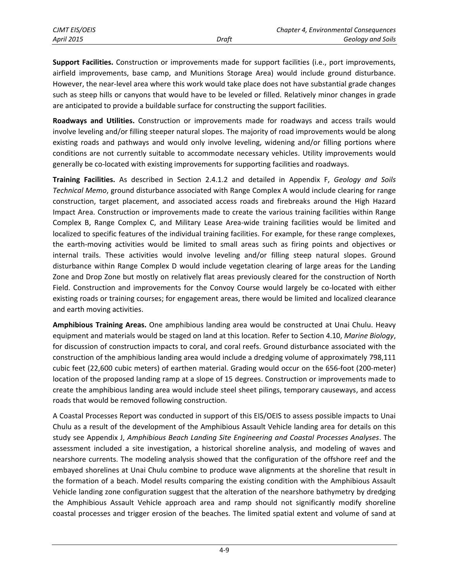**Support Facilities.** Construction or improvements made for support facilities (i.e., port improvements, airfield improvements, base camp, and Munitions Storage Area) would include ground disturbance. However, the near-level area where this work would take place does not have substantial grade changes such as steep hills or canyons that would have to be leveled or filled. Relatively minor changes in grade are anticipated to provide a buildable surface for constructing the support facilities.

**Roadways and Utilities.** Construction or improvements made for roadways and access trails would involve leveling and/or filling steeper natural slopes. The majority of road improvements would be along existing roads and pathways and would only involve leveling, widening and/or filling portions where conditions are not currently suitable to accommodate necessary vehicles. Utility improvements would generally be co-located with existing improvements for supporting facilities and roadways.

**Training Facilities.** As described in Section 2.4.1.2 and detailed in Appendix F, *Geology and Soils Technical Memo*, ground disturbance associated with Range Complex A would include clearing for range construction, target placement, and associated access roads and firebreaks around the High Hazard Impact Area. Construction or improvements made to create the various training facilities within Range Complex B, Range Complex C, and Military Lease Area-wide training facilities would be limited and localized to specific features of the individual training facilities. For example, for these range complexes, the earth-moving activities would be limited to small areas such as firing points and objectives or internal trails. These activities would involve leveling and/or filling steep natural slopes. Ground disturbance within Range Complex D would include vegetation clearing of large areas for the Landing Zone and Drop Zone but mostly on relatively flat areas previously cleared for the construction of North Field. Construction and improvements for the Convoy Course would largely be co-located with either existing roads or training courses; for engagement areas, there would be limited and localized clearance and earth moving activities.

**Amphibious Training Areas.** One amphibious landing area would be constructed at Unai Chulu. Heavy equipment and materials would be staged on land at this location. Refer to Section 4.10, *Marine Biology*, for discussion of construction impacts to coral, and coral reefs. Ground disturbance associated with the construction of the amphibious landing area would include a dredging volume of approximately 798,111 cubic feet (22,600 cubic meters) of earthen material. Grading would occur on the 656-foot (200-meter) location of the proposed landing ramp at a slope of 15 degrees. Construction or improvements made to create the amphibious landing area would include steel sheet pilings, temporary causeways, and access roads that would be removed following construction.

A Coastal Processes Report was conducted in support of this EIS/OEIS to assess possible impacts to Unai Chulu as a result of the development of the Amphibious Assault Vehicle landing area for details on this study see Appendix J, *Amphibious Beach Landing Site Engineering and Coastal Processes Analyses*. The assessment included a site investigation, a historical shoreline analysis, and modeling of waves and nearshore currents. The modeling analysis showed that the configuration of the offshore reef and the embayed shorelines at Unai Chulu combine to produce wave alignments at the shoreline that result in the formation of a beach. Model results comparing the existing condition with the Amphibious Assault Vehicle landing zone configuration suggest that the alteration of the nearshore bathymetry by dredging the Amphibious Assault Vehicle approach area and ramp should not significantly modify shoreline coastal processes and trigger erosion of the beaches. The limited spatial extent and volume of sand at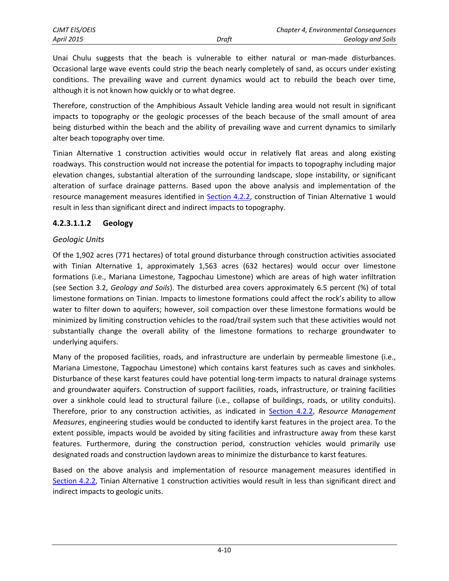Unai Chulu suggests that the beach is vulnerable to either natural or man-made disturbances. Occasional large wave events could strip the beach nearly completely of sand, as occurs under existing conditions. The prevailing wave and current dynamics would act to rebuild the beach over time, although it is not known how quickly or to what degree.

Therefore, construction of the Amphibious Assault Vehicle landing area would not result in significant impacts to topography or the geologic processes of the beach because of the small amount of area being disturbed within the beach and the ability of prevailing wave and current dynamics to similarly alter beach topography over time.

Tinian Alternative 1 construction activities would occur in relatively flat areas and along existing roadways. This construction would not increase the potential for impacts to topography including major elevation changes, substantial alteration of the surrounding landscape, slope instability, or significant alteration of surface drainage patterns. Based upon the above analysis and implementation of the resource management measures identified in [Section 4.2.2,](#page-1-0) construction of Tinian Alternative 1 would result in less than significant direct and indirect impacts to topography.

### **4.2.3.1.1.2 Geology**

#### *Geologic Units*

Of the 1,902 acres (771 hectares) of total ground disturbance through construction activities associated with Tinian Alternative 1, approximately 1,563 acres (632 hectares) would occur over limestone formations (i.e., Mariana Limestone, Tagpochau Limestone) which are areas of high water infiltration (see Section 3.2, *Geology and Soils*). The disturbed area covers approximately 6.5 percent (%) of total limestone formations on Tinian. Impacts to limestone formations could affect the rock's ability to allow water to filter down to aquifers; however, soil compaction over these limestone formations would be minimized by limiting construction vehicles to the road/trail system such that these activities would not substantially change the overall ability of the limestone formations to recharge groundwater to underlying aquifers.

Many of the proposed facilities, roads, and infrastructure are underlain by permeable limestone (i.e., Mariana Limestone, Tagpochau Limestone) which contains karst features such as caves and sinkholes. Disturbance of these karst features could have potential long-term impacts to natural drainage systems and groundwater aquifers. Construction of support facilities, roads, infrastructure, or training facilities over a sinkhole could lead to structural failure (i.e., collapse of buildings, roads, or utility conduits). Therefore, prior to any construction activities, as indicated in [Section 4.2.2,](#page-1-0) *Resource Management Measures*, engineering studies would be conducted to identify karst features in the project area. To the extent possible, impacts would be avoided by siting facilities and infrastructure away from these karst features. Furthermore, during the construction period, construction vehicles would primarily use designated roads and construction laydown areas to minimize the disturbance to karst features.

Based on the above analysis and implementation of resource management measures identified in [Section 4.2.2,](#page-1-0) Tinian Alternative 1 construction activities would result in less than significant direct and indirect impacts to geologic units.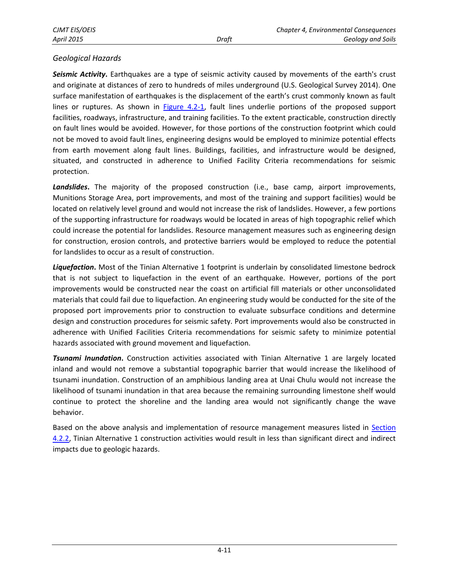### *Geological Hazards*

*Seismic Activity***.** Earthquakes are a type of seismic activity caused by movements of the earth's crust and originate at distances of zero to hundreds of miles underground (U.S. Geological Survey 2014). One surface manifestation of earthquakes is the displacement of the earth's crust commonly known as fault lines or ruptures. As shown in [Figure 4.2-1,](#page-8-0) fault lines underlie portions of the proposed support facilities, roadways, infrastructure, and training facilities. To the extent practicable, construction directly on fault lines would be avoided. However, for those portions of the construction footprint which could not be moved to avoid fault lines, engineering designs would be employed to minimize potential effects from earth movement along fault lines. Buildings, facilities, and infrastructure would be designed, situated, and constructed in adherence to Unified Facility Criteria recommendations for seismic protection.

*Landslides***.** The majority of the proposed construction (i.e., base camp, airport improvements, Munitions Storage Area, port improvements, and most of the training and support facilities) would be located on relatively level ground and would not increase the risk of landslides. However, a few portions of the supporting infrastructure for roadways would be located in areas of high topographic relief which could increase the potential for landslides. Resource management measures such as engineering design for construction, erosion controls, and protective barriers would be employed to reduce the potential for landslides to occur as a result of construction.

*Liquefaction***.** Most of the Tinian Alternative 1 footprint is underlain by consolidated limestone bedrock that is not subject to liquefaction in the event of an earthquake. However, portions of the port improvements would be constructed near the coast on artificial fill materials or other unconsolidated materials that could fail due to liquefaction. An engineering study would be conducted for the site of the proposed port improvements prior to construction to evaluate subsurface conditions and determine design and construction procedures for seismic safety. Port improvements would also be constructed in adherence with Unified Facilities Criteria recommendations for seismic safety to minimize potential hazards associated with ground movement and liquefaction.

*Tsunami Inundation***.** Construction activities associated with Tinian Alternative 1 are largely located inland and would not remove a substantial topographic barrier that would increase the likelihood of tsunami inundation. Construction of an amphibious landing area at Unai Chulu would not increase the likelihood of tsunami inundation in that area because the remaining surrounding limestone shelf would continue to protect the shoreline and the landing area would not significantly change the wave behavior.

Based on the above analysis and implementation of resource management measures listed in Section [4.2.2,](#page-1-0) Tinian Alternative 1 construction activities would result in less than significant direct and indirect impacts due to geologic hazards.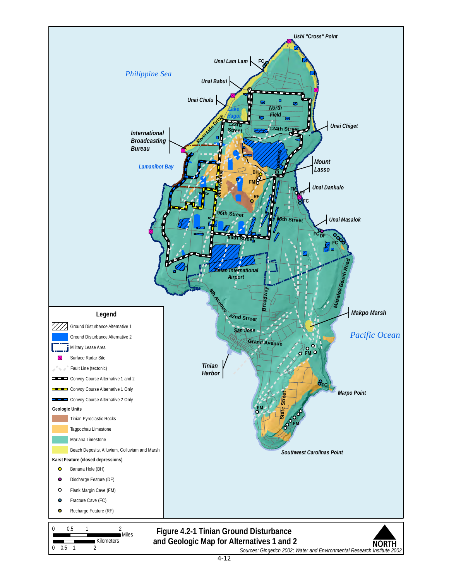<span id="page-8-0"></span>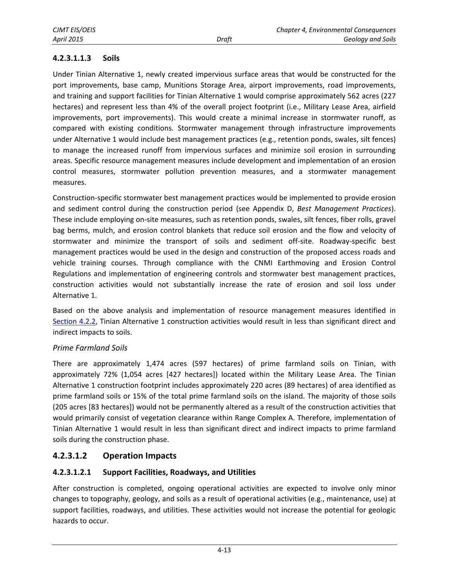### **4.2.3.1.1.3 Soils**

Under Tinian Alternative 1, newly created impervious surface areas that would be constructed for the port improvements, base camp, Munitions Storage Area, airport improvements, road improvements, and training and support facilities for Tinian Alternative 1 would comprise approximately 562 acres (227 hectares) and represent less than 4% of the overall project footprint (i.e., Military Lease Area, airfield improvements, port improvements). This would create a minimal increase in stormwater runoff, as compared with existing conditions. Stormwater management through infrastructure improvements under Alternative 1 would include best management practices (e.g., retention ponds, swales, silt fences) to manage the increased runoff from impervious surfaces and minimize soil erosion in surrounding areas. Specific resource management measures include development and implementation of an erosion control measures, stormwater pollution prevention measures, and a stormwater management measures.

Construction-specific stormwater best management practices would be implemented to provide erosion and sediment control during the construction period (see Appendix D, *Best Management Practices*). These include employing on-site measures, such as retention ponds, swales, silt fences, fiber rolls, gravel bag berms, mulch, and erosion control blankets that reduce soil erosion and the flow and velocity of stormwater and minimize the transport of soils and sediment off-site. Roadway-specific best management practices would be used in the design and construction of the proposed access roads and vehicle training courses. Through compliance with the CNMI Earthmoving and Erosion Control Regulations and implementation of engineering controls and stormwater best management practices, construction activities would not substantially increase the rate of erosion and soil loss under Alternative 1.

Based on the above analysis and implementation of resource management measures identified in [Section 4.2.2,](#page-1-0) Tinian Alternative 1 construction activities would result in less than significant direct and indirect impacts to soils.

#### *Prime Farmland Soils*

There are approximately 1,474 acres (597 hectares) of prime farmland soils on Tinian, with approximately 72% (1,054 acres [427 hectares]) located within the Military Lease Area. The Tinian Alternative 1 construction footprint includes approximately 220 acres (89 hectares) of area identified as prime farmland soils or 15% of the total prime farmland soils on the island. The majority of those soils (205 acres [83 hectares]) would not be permanently altered as a result of the construction activities that would primarily consist of vegetation clearance within Range Complex A. Therefore, implementation of Tinian Alternative 1 would result in less than significant direct and indirect impacts to prime farmland soils during the construction phase.

### **4.2.3.1.2 Operation Impacts**

### **4.2.3.1.2.1 Support Facilities, Roadways, and Utilities**

After construction is completed, ongoing operational activities are expected to involve only minor changes to topography, geology, and soils as a result of operational activities (e.g., maintenance, use) at support facilities, roadways, and utilities. These activities would not increase the potential for geologic hazards to occur.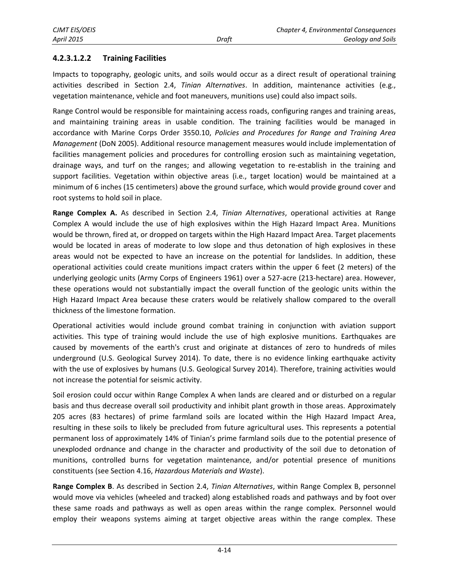### **4.2.3.1.2.2 Training Facilities**

Impacts to topography, geologic units, and soils would occur as a direct result of operational training activities described in Section 2.4, *Tinian Alternatives*. In addition, maintenance activities (e.g., vegetation maintenance, vehicle and foot maneuvers, munitions use) could also impact soils.

Range Control would be responsible for maintaining access roads, configuring ranges and training areas, and maintaining training areas in usable condition. The training facilities would be managed in accordance with Marine Corps Order 3550.10, *Policies and Procedures for Range and Training Area Management* (DoN 2005). Additional resource management measures would include implementation of facilities management policies and procedures for controlling erosion such as maintaining vegetation, drainage ways, and turf on the ranges; and allowing vegetation to re-establish in the training and support facilities. Vegetation within objective areas (i.e., target location) would be maintained at a minimum of 6 inches (15 centimeters) above the ground surface, which would provide ground cover and root systems to hold soil in place.

**Range Complex A.** As described in Section 2.4, *Tinian Alternatives*, operational activities at Range Complex A would include the use of high explosives within the High Hazard Impact Area. Munitions would be thrown, fired at, or dropped on targets within the High Hazard Impact Area. Target placements would be located in areas of moderate to low slope and thus detonation of high explosives in these areas would not be expected to have an increase on the potential for landslides. In addition, these operational activities could create munitions impact craters within the upper 6 feet (2 meters) of the underlying geologic units (Army Corps of Engineers 1961) over a 527-acre (213-hectare) area. However, these operations would not substantially impact the overall function of the geologic units within the High Hazard Impact Area because these craters would be relatively shallow compared to the overall thickness of the limestone formation.

Operational activities would include ground combat training in conjunction with aviation support activities. This type of training would include the use of high explosive munitions. Earthquakes are caused by movements of the earth's crust and originate at distances of zero to hundreds of miles underground (U.S. Geological Survey 2014). To date, there is no evidence linking earthquake activity with the use of explosives by humans (U.S. Geological Survey 2014). Therefore, training activities would not increase the potential for seismic activity.

Soil erosion could occur within Range Complex A when lands are cleared and or disturbed on a regular basis and thus decrease overall soil productivity and inhibit plant growth in those areas. Approximately 205 acres (83 hectares) of prime farmland soils are located within the High Hazard Impact Area, resulting in these soils to likely be precluded from future agricultural uses. This represents a potential permanent loss of approximately 14% of Tinian's prime farmland soils due to the potential presence of unexploded ordnance and change in the character and productivity of the soil due to detonation of munitions, controlled burns for vegetation maintenance, and/or potential presence of munitions constituents (see Section 4.16, *Hazardous Materials and Waste*).

**Range Complex B**. As described in Section 2.4, *Tinian Alternatives*, within Range Complex B, personnel would move via vehicles (wheeled and tracked) along established roads and pathways and by foot over these same roads and pathways as well as open areas within the range complex. Personnel would employ their weapons systems aiming at target objective areas within the range complex. These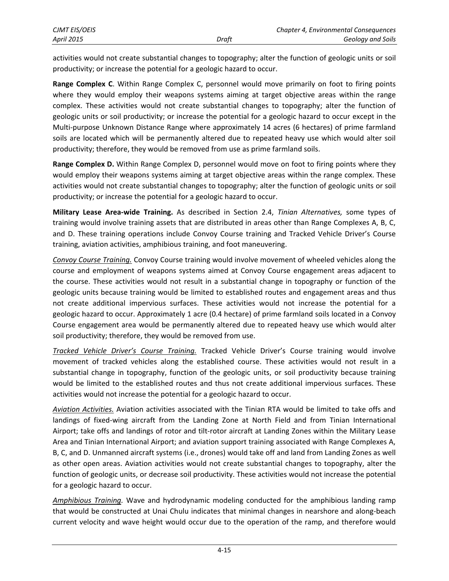activities would not create substantial changes to topography; alter the function of geologic units or soil productivity; or increase the potential for a geologic hazard to occur.

**Range Complex C**. Within Range Complex C, personnel would move primarily on foot to firing points where they would employ their weapons systems aiming at target objective areas within the range complex. These activities would not create substantial changes to topography; alter the function of geologic units or soil productivity; or increase the potential for a geologic hazard to occur except in the Multi-purpose Unknown Distance Range where approximately 14 acres (6 hectares) of prime farmland soils are located which will be permanently altered due to repeated heavy use which would alter soil productivity; therefore, they would be removed from use as prime farmland soils.

**Range Complex D.** Within Range Complex D, personnel would move on foot to firing points where they would employ their weapons systems aiming at target objective areas within the range complex. These activities would not create substantial changes to topography; alter the function of geologic units or soil productivity; or increase the potential for a geologic hazard to occur.

**Military Lease Area-wide Training.** As described in Section 2.4, *Tinian Alternatives,* some types of training would involve training assets that are distributed in areas other than Range Complexes A, B, C, and D. These training operations include Convoy Course training and Tracked Vehicle Driver's Course training, aviation activities, amphibious training, and foot maneuvering.

*Convoy Course Training.* Convoy Course training would involve movement of wheeled vehicles along the course and employment of weapons systems aimed at Convoy Course engagement areas adjacent to the course. These activities would not result in a substantial change in topography or function of the geologic units because training would be limited to established routes and engagement areas and thus not create additional impervious surfaces. These activities would not increase the potential for a geologic hazard to occur. Approximately 1 acre (0.4 hectare) of prime farmland soils located in a Convoy Course engagement area would be permanently altered due to repeated heavy use which would alter soil productivity; therefore, they would be removed from use.

*Tracked Vehicle Driver's Course Training.* Tracked Vehicle Driver's Course training would involve movement of tracked vehicles along the established course. These activities would not result in a substantial change in topography, function of the geologic units, or soil productivity because training would be limited to the established routes and thus not create additional impervious surfaces. These activities would not increase the potential for a geologic hazard to occur.

*Aviation Activities.* Aviation activities associated with the Tinian RTA would be limited to take offs and landings of fixed-wing aircraft from the Landing Zone at North Field and from Tinian International Airport; take offs and landings of rotor and tilt-rotor aircraft at Landing Zones within the Military Lease Area and Tinian International Airport; and aviation support training associated with Range Complexes A, B, C, and D. Unmanned aircraft systems (i.e., drones) would take off and land from Landing Zones as well as other open areas. Aviation activities would not create substantial changes to topography, alter the function of geologic units, or decrease soil productivity. These activities would not increase the potential for a geologic hazard to occur.

*Amphibious Training.* Wave and hydrodynamic modeling conducted for the amphibious landing ramp that would be constructed at Unai Chulu indicates that minimal changes in nearshore and along-beach current velocity and wave height would occur due to the operation of the ramp, and therefore would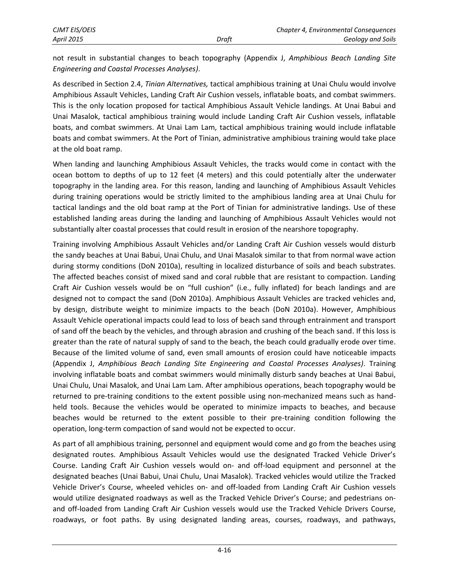not result in substantial changes to beach topography (Appendix J, *Amphibious Beach Landing Site Engineering and Coastal Processes Analyses)*.

As described in Section 2.4, *Tinian Alternatives,* tactical amphibious training at Unai Chulu would involve Amphibious Assault Vehicles, Landing Craft Air Cushion vessels, inflatable boats, and combat swimmers. This is the only location proposed for tactical Amphibious Assault Vehicle landings. At Unai Babui and Unai Masalok, tactical amphibious training would include Landing Craft Air Cushion vessels, inflatable boats, and combat swimmers. At Unai Lam Lam, tactical amphibious training would include inflatable boats and combat swimmers. At the Port of Tinian, administrative amphibious training would take place at the old boat ramp.

When landing and launching Amphibious Assault Vehicles, the tracks would come in contact with the ocean bottom to depths of up to 12 feet (4 meters) and this could potentially alter the underwater topography in the landing area. For this reason, landing and launching of Amphibious Assault Vehicles during training operations would be strictly limited to the amphibious landing area at Unai Chulu for tactical landings and the old boat ramp at the Port of Tinian for administrative landings. Use of these established landing areas during the landing and launching of Amphibious Assault Vehicles would not substantially alter coastal processes that could result in erosion of the nearshore topography.

Training involving Amphibious Assault Vehicles and/or Landing Craft Air Cushion vessels would disturb the sandy beaches at Unai Babui, Unai Chulu, and Unai Masalok similar to that from normal wave action during stormy conditions (DoN 2010a), resulting in localized disturbance of soils and beach substrates. The affected beaches consist of mixed sand and coral rubble that are resistant to compaction. Landing Craft Air Cushion vessels would be on "full cushion" (i.e., fully inflated) for beach landings and are designed not to compact the sand (DoN 2010a). Amphibious Assault Vehicles are tracked vehicles and, by design, distribute weight to minimize impacts to the beach (DoN 2010a). However, Amphibious Assault Vehicle operational impacts could lead to loss of beach sand through entrainment and transport of sand off the beach by the vehicles, and through abrasion and crushing of the beach sand. If this loss is greater than the rate of natural supply of sand to the beach, the beach could gradually erode over time. Because of the limited volume of sand, even small amounts of erosion could have noticeable impacts (Appendix J, *Amphibious Beach Landing Site Engineering and Coastal Processes Analyses)*. Training involving inflatable boats and combat swimmers would minimally disturb sandy beaches at Unai Babui, Unai Chulu, Unai Masalok, and Unai Lam Lam. After amphibious operations, beach topography would be returned to pre-training conditions to the extent possible using non-mechanized means such as handheld tools. Because the vehicles would be operated to minimize impacts to beaches, and because beaches would be returned to the extent possible to their pre-training condition following the operation, long-term compaction of sand would not be expected to occur.

As part of all amphibious training, personnel and equipment would come and go from the beaches using designated routes. Amphibious Assault Vehicles would use the designated Tracked Vehicle Driver's Course. Landing Craft Air Cushion vessels would on- and off-load equipment and personnel at the designated beaches (Unai Babui, Unai Chulu, Unai Masalok). Tracked vehicles would utilize the Tracked Vehicle Driver's Course, wheeled vehicles on- and off-loaded from Landing Craft Air Cushion vessels would utilize designated roadways as well as the Tracked Vehicle Driver's Course; and pedestrians onand off-loaded from Landing Craft Air Cushion vessels would use the Tracked Vehicle Drivers Course, roadways, or foot paths. By using designated landing areas, courses, roadways, and pathways,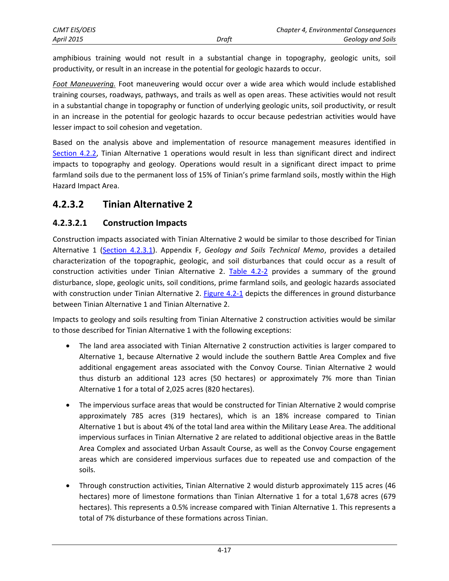amphibious training would not result in a substantial change in topography, geologic units, soil productivity, or result in an increase in the potential for geologic hazards to occur.

*Foot Maneuvering.* Foot maneuvering would occur over a wide area which would include established training courses, roadways, pathways, and trails as well as open areas. These activities would not result in a substantial change in topography or function of underlying geologic units, soil productivity, or result in an increase in the potential for geologic hazards to occur because pedestrian activities would have lesser impact to soil cohesion and vegetation.

Based on the analysis above and implementation of resource management measures identified in [Section 4.2.2,](#page-1-0) Tinian Alternative 1 operations would result in less than significant direct and indirect impacts to topography and geology. Operations would result in a significant direct impact to prime farmland soils due to the permanent loss of 15% of Tinian's prime farmland soils, mostly within the High Hazard Impact Area.

## **4.2.3.2 Tinian Alternative 2**

## **4.2.3.2.1 Construction Impacts**

Construction impacts associated with Tinian Alternative 2 would be similar to those described for Tinian Alternative 1 [\(Section 4.2.3.1\)](#page-2-0). Appendix F, *Geology and Soils Technical Memo*, provides a detailed characterization of the topographic, geologic, and soil disturbances that could occur as a result of construction activities under Tinian Alternative 2. [Table 4.2-2](#page-14-0) provides a summary of the ground disturbance, slope, geologic units, soil conditions, prime farmland soils, and geologic hazards associated with construction under Tinian Alternative 2. [Figure 4.2-1](#page-8-0) depicts the differences in ground disturbance between Tinian Alternative 1 and Tinian Alternative 2.

Impacts to geology and soils resulting from Tinian Alternative 2 construction activities would be similar to those described for Tinian Alternative 1 with the following exceptions:

- The land area associated with Tinian Alternative 2 construction activities is larger compared to Alternative 1, because Alternative 2 would include the southern Battle Area Complex and five additional engagement areas associated with the Convoy Course. Tinian Alternative 2 would thus disturb an additional 123 acres (50 hectares) or approximately 7% more than Tinian Alternative 1 for a total of 2,025 acres (820 hectares).
- The impervious surface areas that would be constructed for Tinian Alternative 2 would comprise approximately 785 acres (319 hectares), which is an 18% increase compared to Tinian Alternative 1 but is about 4% of the total land area within the Military Lease Area. The additional impervious surfaces in Tinian Alternative 2 are related to additional objective areas in the Battle Area Complex and associated Urban Assault Course, as well as the Convoy Course engagement areas which are considered impervious surfaces due to repeated use and compaction of the soils.
- Through construction activities, Tinian Alternative 2 would disturb approximately 115 acres (46 hectares) more of limestone formations than Tinian Alternative 1 for a total 1,678 acres (679 hectares). This represents a 0.5% increase compared with Tinian Alternative 1. This represents a total of 7% disturbance of these formations across Tinian.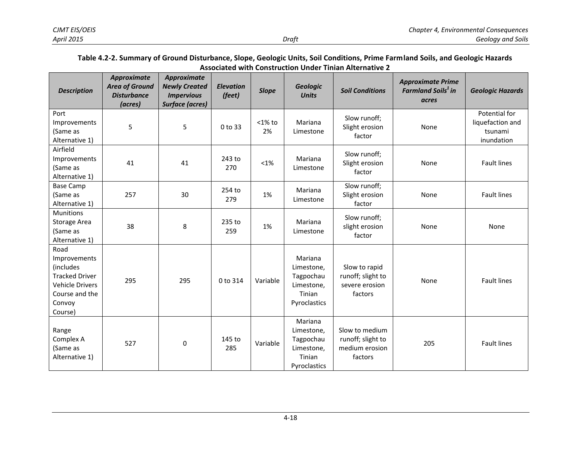#### **Table 4.2-2. Summary of Ground Disturbance, Slope, Geologic Units, Soil Conditions, Prime Farmland Soils, and Geologic Hazards Associated with Construction Under Tinian Alternative 2**

<span id="page-14-0"></span>

| <b>Description</b>                                                                                                          | Approximate<br><b>Area of Ground</b><br><b>Disturbance</b><br>(acres) | Approximate<br><b>Newly Created</b><br><b>Impervious</b><br><b>Surface (acres)</b> | <b>Elevation</b><br>(feet) | <b>Slope</b>    | <b>Geologic</b><br><b>Units</b>                                            | <b>Soil Conditions</b>                                           | <b>Approximate Prime</b><br><b>Farmland Soils<sup>1</sup> in</b><br>acres | <b>Geologic Hazards</b>                                    |
|-----------------------------------------------------------------------------------------------------------------------------|-----------------------------------------------------------------------|------------------------------------------------------------------------------------|----------------------------|-----------------|----------------------------------------------------------------------------|------------------------------------------------------------------|---------------------------------------------------------------------------|------------------------------------------------------------|
| Port<br>Improvements<br>(Same as<br>Alternative 1)                                                                          | 5                                                                     | 5                                                                                  | 0 to 33                    | $<$ 1% to<br>2% | Mariana<br>Limestone                                                       | Slow runoff;<br>Slight erosion<br>factor                         | None                                                                      | Potential for<br>liquefaction and<br>tsunami<br>inundation |
| Airfield<br>Improvements<br>(Same as<br>Alternative 1)                                                                      | 41                                                                    | 41                                                                                 | 243 to<br>270              | $<1\%$          | Mariana<br>Limestone                                                       | Slow runoff;<br>Slight erosion<br>factor                         | None                                                                      | <b>Fault lines</b>                                         |
| <b>Base Camp</b><br>(Same as<br>Alternative 1)                                                                              | 257                                                                   | 30                                                                                 | 254 to<br>279              | 1%              | Mariana<br>Limestone                                                       | Slow runoff;<br>Slight erosion<br>factor                         | None                                                                      | <b>Fault lines</b>                                         |
| <b>Munitions</b><br>Storage Area<br>(Same as<br>Alternative 1)                                                              | 38                                                                    | 8                                                                                  | 235 to<br>259              | 1%              | Mariana<br>Limestone                                                       | Slow runoff;<br>slight erosion<br>factor                         | None                                                                      | None                                                       |
| Road<br>Improvements<br>(includes<br><b>Tracked Driver</b><br><b>Vehicle Drivers</b><br>Course and the<br>Convoy<br>Course) | 295                                                                   | 295                                                                                | 0 to 314                   | Variable        | Mariana<br>Limestone,<br>Tagpochau<br>Limestone,<br>Tinian<br>Pyroclastics | Slow to rapid<br>runoff; slight to<br>severe erosion<br>factors  | None                                                                      | <b>Fault lines</b>                                         |
| Range<br>Complex A<br>(Same as<br>Alternative 1)                                                                            | 527                                                                   | 0                                                                                  | 145 to<br>285              | Variable        | Mariana<br>Limestone,<br>Tagpochau<br>Limestone,<br>Tinian<br>Pyroclastics | Slow to medium<br>runoff; slight to<br>medium erosion<br>factors | 205                                                                       | <b>Fault lines</b>                                         |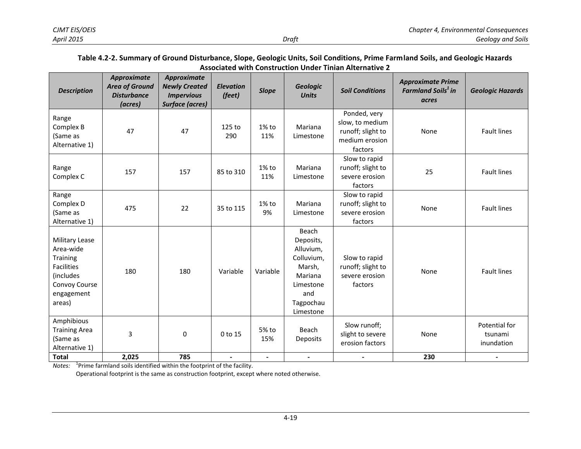#### **Table 4.2-2. Summary of Ground Disturbance, Slope, Geologic Units, Soil Conditions, Prime Farmland Soils, and Geologic Hazards Associated with Construction Under Tinian Alternative 2**

| <b>Description</b>                                                                                                        | Approximate<br><b>Area of Ground</b><br><b>Disturbance</b><br>(acres) | Approximate<br><b>Newly Created</b><br><b>Impervious</b><br>Surface (acres) | <b>Elevation</b><br>(feet) | <b>Slope</b>    | Geologic<br><b>Units</b>                                                                                         | <b>Soil Conditions</b>                                                            | <b>Approximate Prime</b><br><b>Farmland Soils<sup>1</sup> in</b><br>acres | <b>Geologic Hazards</b>                |
|---------------------------------------------------------------------------------------------------------------------------|-----------------------------------------------------------------------|-----------------------------------------------------------------------------|----------------------------|-----------------|------------------------------------------------------------------------------------------------------------------|-----------------------------------------------------------------------------------|---------------------------------------------------------------------------|----------------------------------------|
| Range<br>Complex B<br>(Same as<br>Alternative 1)                                                                          | 47                                                                    | 47                                                                          | 125 to<br>290              | 1% to<br>11%    | Mariana<br>Limestone                                                                                             | Ponded, very<br>slow, to medium<br>runoff; slight to<br>medium erosion<br>factors | None                                                                      | <b>Fault lines</b>                     |
| Range<br>Complex C                                                                                                        | 157                                                                   | 157                                                                         | 85 to 310                  | $1\%$ to<br>11% | Mariana<br>Limestone                                                                                             | Slow to rapid<br>runoff; slight to<br>severe erosion<br>factors                   | 25                                                                        | <b>Fault lines</b>                     |
| Range<br>Complex D<br>(Same as<br>Alternative 1)                                                                          | 475                                                                   | 22                                                                          | 35 to 115                  | 1% to<br>9%     | Mariana<br>Limestone                                                                                             | Slow to rapid<br>runoff; slight to<br>severe erosion<br>factors                   | None                                                                      | <b>Fault lines</b>                     |
| Military Lease<br>Area-wide<br><b>Training</b><br><b>Facilities</b><br>(includes<br>Convoy Course<br>engagement<br>areas) | 180                                                                   | 180                                                                         | Variable                   | Variable        | Beach<br>Deposits,<br>Alluvium,<br>Colluvium,<br>Marsh,<br>Mariana<br>Limestone<br>and<br>Tagpochau<br>Limestone | Slow to rapid<br>runoff; slight to<br>severe erosion<br>factors                   | None                                                                      | <b>Fault lines</b>                     |
| Amphibious<br><b>Training Area</b><br>(Same as<br>Alternative 1)                                                          | 3                                                                     | 0                                                                           | 0 to 15                    | 5% to<br>15%    | Beach<br>Deposits                                                                                                | Slow runoff;<br>slight to severe<br>erosion factors                               | None                                                                      | Potential for<br>tsunami<br>inundation |
| <b>Total</b>                                                                                                              | 2,025                                                                 | 785                                                                         | $\overline{\phantom{a}}$   | -               | $\blacksquare$                                                                                                   | $\blacksquare$                                                                    | 230                                                                       |                                        |

*Notes:* <sup>1</sup> Prime farmland soils identified within the footprint of the facility.

Operational footprint is the same as construction footprint, except where noted otherwise.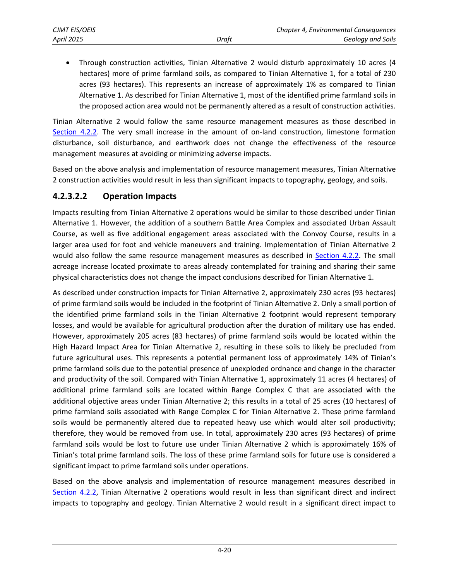Through construction activities, Tinian Alternative 2 would disturb approximately 10 acres (4 hectares) more of prime farmland soils, as compared to Tinian Alternative 1, for a total of 230 acres (93 hectares). This represents an increase of approximately 1% as compared to Tinian Alternative 1. As described for Tinian Alternative 1, most of the identified prime farmland soils in the proposed action area would not be permanently altered as a result of construction activities.

Tinian Alternative 2 would follow the same resource management measures as those described in [Section 4.2.2.](#page-1-0) The very small increase in the amount of on-land construction, limestone formation disturbance, soil disturbance, and earthwork does not change the effectiveness of the resource management measures at avoiding or minimizing adverse impacts.

Based on the above analysis and implementation of resource management measures, Tinian Alternative 2 construction activities would result in less than significant impacts to topography, geology, and soils.

### **4.2.3.2.2 Operation Impacts**

Impacts resulting from Tinian Alternative 2 operations would be similar to those described under Tinian Alternative 1. However, the addition of a southern Battle Area Complex and associated Urban Assault Course, as well as five additional engagement areas associated with the Convoy Course, results in a larger area used for foot and vehicle maneuvers and training. Implementation of Tinian Alternative 2 would also follow the same resource management measures as described in [Section 4.2.2.](#page-1-0) The small acreage increase located proximate to areas already contemplated for training and sharing their same physical characteristics does not change the impact conclusions described for Tinian Alternative 1.

As described under construction impacts for Tinian Alternative 2, approximately 230 acres (93 hectares) of prime farmland soils would be included in the footprint of Tinian Alternative 2. Only a small portion of the identified prime farmland soils in the Tinian Alternative 2 footprint would represent temporary losses, and would be available for agricultural production after the duration of military use has ended. However, approximately 205 acres (83 hectares) of prime farmland soils would be located within the High Hazard Impact Area for Tinian Alternative 2, resulting in these soils to likely be precluded from future agricultural uses. This represents a potential permanent loss of approximately 14% of Tinian's prime farmland soils due to the potential presence of unexploded ordnance and change in the character and productivity of the soil. Compared with Tinian Alternative 1, approximately 11 acres (4 hectares) of additional prime farmland soils are located within Range Complex C that are associated with the additional objective areas under Tinian Alternative 2; this results in a total of 25 acres (10 hectares) of prime farmland soils associated with Range Complex C for Tinian Alternative 2. These prime farmland soils would be permanently altered due to repeated heavy use which would alter soil productivity; therefore, they would be removed from use. In total, approximately 230 acres (93 hectares) of prime farmland soils would be lost to future use under Tinian Alternative 2 which is approximately 16% of Tinian's total prime farmland soils. The loss of these prime farmland soils for future use is considered a significant impact to prime farmland soils under operations.

Based on the above analysis and implementation of resource management measures described in [Section 4.2.2,](#page-1-0) Tinian Alternative 2 operations would result in less than significant direct and indirect impacts to topography and geology. Tinian Alternative 2 would result in a significant direct impact to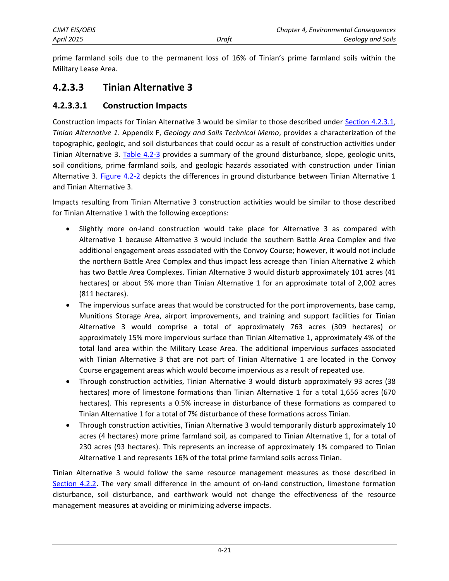prime farmland soils due to the permanent loss of 16% of Tinian's prime farmland soils within the Military Lease Area.

## **4.2.3.3 Tinian Alternative 3**

### **4.2.3.3.1 Construction Impacts**

Construction impacts for Tinian Alternative 3 would be similar to those described under [Section 4.2.3.1,](#page-2-0) *Tinian Alternative 1*. Appendix F, *Geology and Soils Technical Memo*, provides a characterization of the topographic, geologic, and soil disturbances that could occur as a result of construction activities under Tinian Alternative 3. [Table 4.2-3](#page-18-0) provides a summary of the ground disturbance, slope, geologic units, soil conditions, prime farmland soils, and geologic hazards associated with construction under Tinian Alternative 3. [Figure 4.2-2](#page-8-0) depicts the differences in ground disturbance between Tinian Alternative 1 and Tinian Alternative 3.

Impacts resulting from Tinian Alternative 3 construction activities would be similar to those described for Tinian Alternative 1 with the following exceptions:

- Slightly more on-land construction would take place for Alternative 3 as compared with Alternative 1 because Alternative 3 would include the southern Battle Area Complex and five additional engagement areas associated with the Convoy Course; however, it would not include the northern Battle Area Complex and thus impact less acreage than Tinian Alternative 2 which has two Battle Area Complexes. Tinian Alternative 3 would disturb approximately 101 acres (41 hectares) or about 5% more than Tinian Alternative 1 for an approximate total of 2,002 acres (811 hectares).
- The impervious surface areas that would be constructed for the port improvements, base camp, Munitions Storage Area, airport improvements, and training and support facilities for Tinian Alternative 3 would comprise a total of approximately 763 acres (309 hectares) or approximately 15% more impervious surface than Tinian Alternative 1, approximately 4% of the total land area within the Military Lease Area*.* The additional impervious surfaces associated with Tinian Alternative 3 that are not part of Tinian Alternative 1 are located in the Convoy Course engagement areas which would become impervious as a result of repeated use.
- Through construction activities, Tinian Alternative 3 would disturb approximately 93 acres (38 hectares) more of limestone formations than Tinian Alternative 1 for a total 1,656 acres (670 hectares). This represents a 0.5% increase in disturbance of these formations as compared to Tinian Alternative 1 for a total of 7% disturbance of these formations across Tinian.
- Through construction activities, Tinian Alternative 3 would temporarily disturb approximately 10 acres (4 hectares) more prime farmland soil, as compared to Tinian Alternative 1, for a total of 230 acres (93 hectares). This represents an increase of approximately 1% compared to Tinian Alternative 1 and represents 16% of the total prime farmland soils across Tinian.

Tinian Alternative 3 would follow the same resource management measures as those described in [Section 4.2.2.](#page-14-0) The very small difference in the amount of on-land construction, limestone formation disturbance, soil disturbance, and earthwork would not change the effectiveness of the resource management measures at avoiding or minimizing adverse impacts.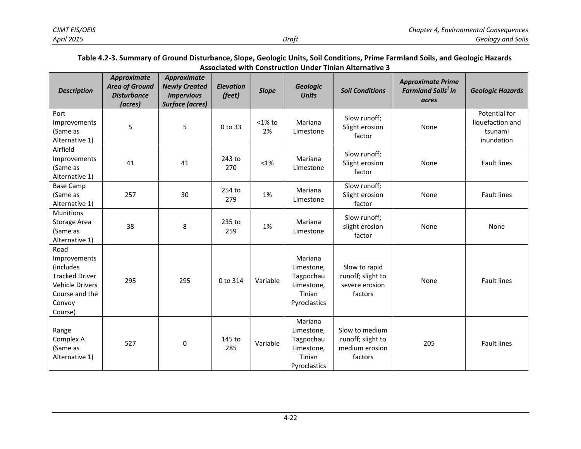#### **Table 4.2-3. Summary of Ground Disturbance, Slope, Geologic Units, Soil Conditions, Prime Farmland Soils, and Geologic Hazards Associated with Construction Under Tinian Alternative 3**

<span id="page-18-0"></span>

| <b>Description</b>                                                                                                          | <b>Approximate</b><br><b>Area of Ground</b><br><b>Disturbance</b><br>(acres) | Approximate<br><b>Newly Created</b><br><b>Impervious</b><br><b>Surface (acres)</b> | <b>Elevation</b><br>(feet) | <b>Slope</b>    | <b>Geologic</b><br><b>Units</b>                                            | <b>Soil Conditions</b>                                           | <b>Approximate Prime</b><br><b>Farmland Soils<sup>1</sup> in</b><br>acres | <b>Geologic Hazards</b>                                    |
|-----------------------------------------------------------------------------------------------------------------------------|------------------------------------------------------------------------------|------------------------------------------------------------------------------------|----------------------------|-----------------|----------------------------------------------------------------------------|------------------------------------------------------------------|---------------------------------------------------------------------------|------------------------------------------------------------|
| Port<br>Improvements<br>(Same as<br>Alternative 1)                                                                          | 5                                                                            | 5                                                                                  | 0 to 33                    | $<$ 1% to<br>2% | Mariana<br>Limestone                                                       | Slow runoff;<br>Slight erosion<br>factor                         | None                                                                      | Potential for<br>liquefaction and<br>tsunami<br>inundation |
| Airfield<br>Improvements<br>(Same as<br>Alternative 1)                                                                      | 41                                                                           | 41                                                                                 | 243 to<br>270              | $<1\%$          | Mariana<br>Limestone                                                       | Slow runoff;<br>Slight erosion<br>factor                         | None                                                                      | <b>Fault lines</b>                                         |
| <b>Base Camp</b><br>(Same as<br>Alternative 1)                                                                              | 257                                                                          | 30                                                                                 | 254 to<br>279              | 1%              | Mariana<br>Limestone                                                       | Slow runoff;<br>Slight erosion<br>factor                         | None                                                                      | <b>Fault lines</b>                                         |
| <b>Munitions</b><br>Storage Area<br>(Same as<br>Alternative 1)                                                              | 38                                                                           | 8                                                                                  | 235 to<br>259              | 1%              | Mariana<br>Limestone                                                       | Slow runoff;<br>slight erosion<br>factor                         | None                                                                      | None                                                       |
| Road<br>Improvements<br>(includes<br><b>Tracked Driver</b><br><b>Vehicle Drivers</b><br>Course and the<br>Convoy<br>Course) | 295                                                                          | 295                                                                                | 0 to 314                   | Variable        | Mariana<br>Limestone,<br>Tagpochau<br>Limestone,<br>Tinian<br>Pyroclastics | Slow to rapid<br>runoff; slight to<br>severe erosion<br>factors  | None                                                                      | <b>Fault lines</b>                                         |
| Range<br>Complex A<br>(Same as<br>Alternative 1)                                                                            | 527                                                                          | 0                                                                                  | 145 to<br>285              | Variable        | Mariana<br>Limestone,<br>Tagpochau<br>Limestone,<br>Tinian<br>Pyroclastics | Slow to medium<br>runoff; slight to<br>medium erosion<br>factors | 205                                                                       | <b>Fault lines</b>                                         |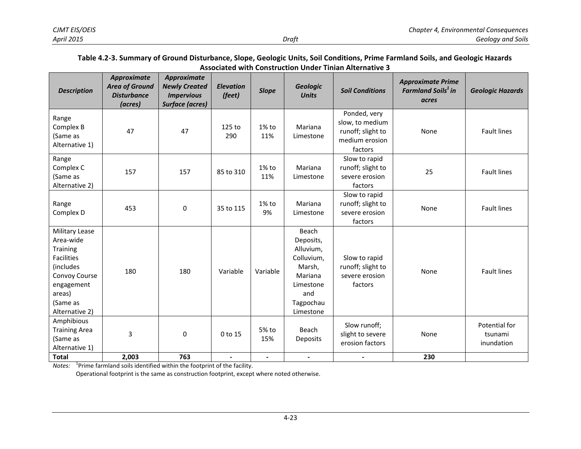#### **Table 4.2-3. Summary of Ground Disturbance, Slope, Geologic Units, Soil Conditions, Prime Farmland Soils, and Geologic Hazards Associated with Construction Under Tinian Alternative 3**

| <b>Description</b>                                                                                                                                      | <b>Approximate</b><br><b>Area of Ground</b><br><b>Disturbance</b><br>(acres) | Approximate<br><b>Newly Created</b><br><b>Impervious</b><br><b>Surface (acres)</b> | <b>Elevation</b><br>(feet) | <b>Slope</b>    | <b>Geologic</b><br><b>Units</b>                                                                                  | <b>Soil Conditions</b>                                                            | <b>Approximate Prime</b><br><b>Farmland Soils<sup>1</sup> in</b><br>acres | <b>Geologic Hazards</b>                |
|---------------------------------------------------------------------------------------------------------------------------------------------------------|------------------------------------------------------------------------------|------------------------------------------------------------------------------------|----------------------------|-----------------|------------------------------------------------------------------------------------------------------------------|-----------------------------------------------------------------------------------|---------------------------------------------------------------------------|----------------------------------------|
| Range<br>Complex B<br>(Same as<br>Alternative 1)                                                                                                        | 47                                                                           | 47                                                                                 | 125 to<br>290              | $1\%$ to<br>11% | Mariana<br>Limestone                                                                                             | Ponded, very<br>slow, to medium<br>runoff; slight to<br>medium erosion<br>factors | None                                                                      | <b>Fault lines</b>                     |
| Range<br>Complex C<br>(Same as<br>Alternative 2)                                                                                                        | 157                                                                          | 157                                                                                | 85 to 310                  | $1\%$ to<br>11% | Mariana<br>Limestone                                                                                             | Slow to rapid<br>runoff; slight to<br>severe erosion<br>factors                   | 25                                                                        | <b>Fault lines</b>                     |
| Range<br>Complex D                                                                                                                                      | 453                                                                          | 0                                                                                  | 35 to 115                  | $1\%$ to<br>9%  | Mariana<br>Limestone                                                                                             | Slow to rapid<br>runoff; slight to<br>severe erosion<br>factors                   | None                                                                      | <b>Fault lines</b>                     |
| Military Lease<br>Area-wide<br><b>Training</b><br><b>Facilities</b><br>(includes<br>Convoy Course<br>engagement<br>areas)<br>(Same as<br>Alternative 2) | 180                                                                          | 180                                                                                | Variable                   | Variable        | Beach<br>Deposits,<br>Alluvium,<br>Colluvium,<br>Marsh,<br>Mariana<br>Limestone<br>and<br>Tagpochau<br>Limestone | Slow to rapid<br>runoff; slight to<br>severe erosion<br>factors                   | None                                                                      | <b>Fault lines</b>                     |
| Amphibious<br><b>Training Area</b><br>(Same as<br>Alternative 1)                                                                                        | 3                                                                            | $\mathbf 0$                                                                        | 0 to 15                    | 5% to<br>15%    | Beach<br><b>Deposits</b>                                                                                         | Slow runoff;<br>slight to severe<br>erosion factors                               | None                                                                      | Potential for<br>tsunami<br>inundation |
| <b>Total</b>                                                                                                                                            | 2,003                                                                        | 763                                                                                | $\overline{\phantom{a}}$   | -               | $\blacksquare$                                                                                                   | $\blacksquare$                                                                    | 230                                                                       |                                        |

*Notes:* <sup>1</sup> Prime farmland soils identified within the footprint of the facility.

Operational footprint is the same as construction footprint, except where noted otherwise.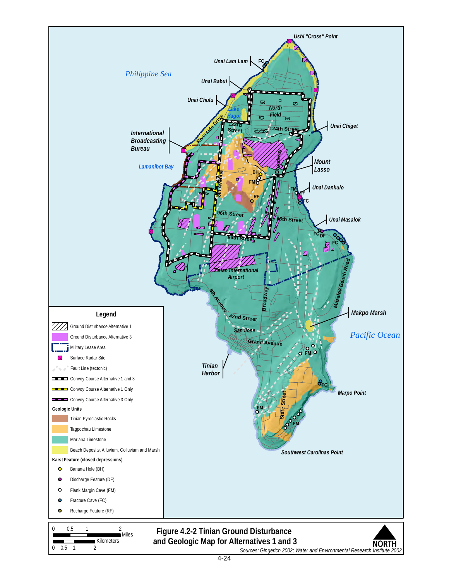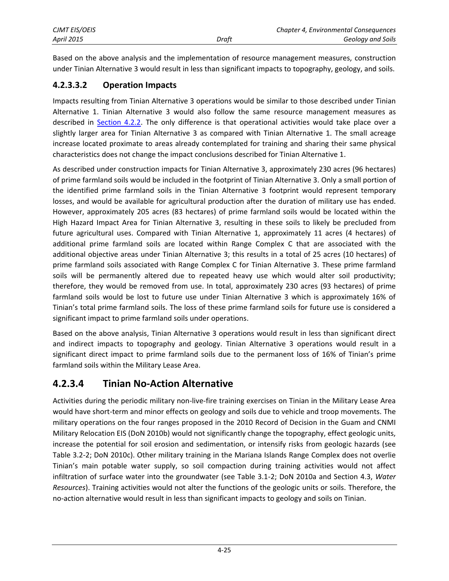| CJMT EIS/OEIS |       | Chapter 4, Environmental Consequences |
|---------------|-------|---------------------------------------|
| April 2015    | Draft | Geology and Soils                     |

Based on the above analysis and the implementation of resource management measures, construction under Tinian Alternative 3 would result in less than significant impacts to topography, geology, and soils.

### **4.2.3.3.2 Operation Impacts**

Impacts resulting from Tinian Alternative 3 operations would be similar to those described under Tinian Alternative 1. Tinian Alternative 3 would also follow the same resource management measures as described in [Section 4.2.2.](#page-1-0) The only difference is that operational activities would take place over a slightly larger area for Tinian Alternative 3 as compared with Tinian Alternative 1. The small acreage increase located proximate to areas already contemplated for training and sharing their same physical characteristics does not change the impact conclusions described for Tinian Alternative 1.

As described under construction impacts for Tinian Alternative 3, approximately 230 acres (96 hectares) of prime farmland soils would be included in the footprint of Tinian Alternative 3. Only a small portion of the identified prime farmland soils in the Tinian Alternative 3 footprint would represent temporary losses, and would be available for agricultural production after the duration of military use has ended. However, approximately 205 acres (83 hectares) of prime farmland soils would be located within the High Hazard Impact Area for Tinian Alternative 3, resulting in these soils to likely be precluded from future agricultural uses. Compared with Tinian Alternative 1, approximately 11 acres (4 hectares) of additional prime farmland soils are located within Range Complex C that are associated with the additional objective areas under Tinian Alternative 3; this results in a total of 25 acres (10 hectares) of prime farmland soils associated with Range Complex C for Tinian Alternative 3. These prime farmland soils will be permanently altered due to repeated heavy use which would alter soil productivity; therefore, they would be removed from use. In total, approximately 230 acres (93 hectares) of prime farmland soils would be lost to future use under Tinian Alternative 3 which is approximately 16% of Tinian's total prime farmland soils. The loss of these prime farmland soils for future use is considered a significant impact to prime farmland soils under operations.

Based on the above analysis, Tinian Alternative 3 operations would result in less than significant direct and indirect impacts to topography and geology. Tinian Alternative 3 operations would result in a significant direct impact to prime farmland soils due to the permanent loss of 16% of Tinian's prime farmland soils within the Military Lease Area.

## **4.2.3.4 Tinian No-Action Alternative**

Activities during the periodic military non-live-fire training exercises on Tinian in the Military Lease Area would have short-term and minor effects on geology and soils due to vehicle and troop movements. The military operations on the four ranges proposed in the 2010 Record of Decision in the Guam and CNMI Military Relocation EIS (DoN 2010b) would not significantly change the topography, effect geologic units, increase the potential for soil erosion and sedimentation, or intensify risks from geologic hazards (see Table 3.2-2; DoN 2010c). Other military training in the Mariana Islands Range Complex does not overlie Tinian's main potable water supply, so soil compaction during training activities would not affect infiltration of surface water into the groundwater (see Table 3.1-2; DoN 2010a and Section 4.3, *Water Resources*). Training activities would not alter the functions of the geologic units or soils. Therefore, the no-action alternative would result in less than significant impacts to geology and soils on Tinian.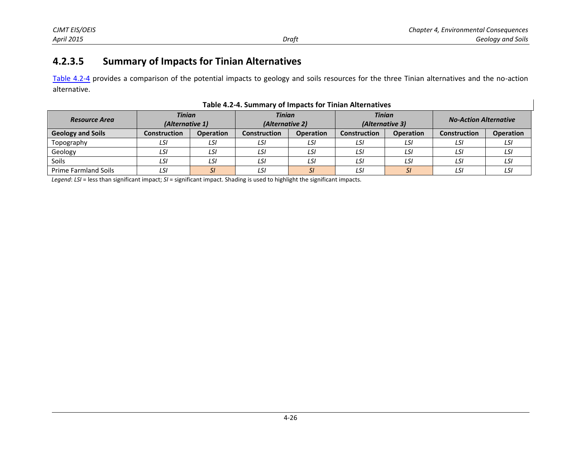## **4.2.3.5 Summary of Impacts for Tinian Alternatives**

[Table 4.2-4](#page-22-0) provides a comparison of the potential impacts to geology and soils resources for the three Tinian alternatives and the no-action alternative.

<span id="page-22-0"></span>

| <b>Resource Area</b>        | <b>Tinian</b><br>(Alternative 1) |                  | <b>Tinian</b><br>(Alternative 2) |                  | <b>Tinian</b><br>(Alternative 3) |                  | <b>No-Action Alternative</b> |                  |  |  |  |
|-----------------------------|----------------------------------|------------------|----------------------------------|------------------|----------------------------------|------------------|------------------------------|------------------|--|--|--|
| <b>Geology and Soils</b>    | <b>Construction</b>              | <b>Operation</b> | <b>Construction</b>              | <b>Operation</b> | <b>Construction</b>              | <b>Operation</b> | <b>Construction</b>          | <b>Operation</b> |  |  |  |
| Topography                  | LSI                              | LSI              | LSI                              | LSI              | LSI                              | LSI              | LSI                          | LSI              |  |  |  |
| Geology                     | LSI                              | LSI              | LSI                              | LSI              | LSI                              | LSI              | LSI                          | LSI              |  |  |  |
| Soils                       | LSI                              | LSI              | LSI                              | LSI              | LSI                              | LSI              | LSI                          | LSI              |  |  |  |
| <b>Prime Farmland Soils</b> | LSI                              | ، ب              | LSI                              | <i>SI</i>        | LSI                              | SI               | LSI                          | LSI              |  |  |  |

#### **Table 4.2-4. Summary of Impacts for Tinian Alternatives**

*Legend*: *LSI* = less than significant impact; *SI* = significant impact. Shading is used to highlight the significant impacts.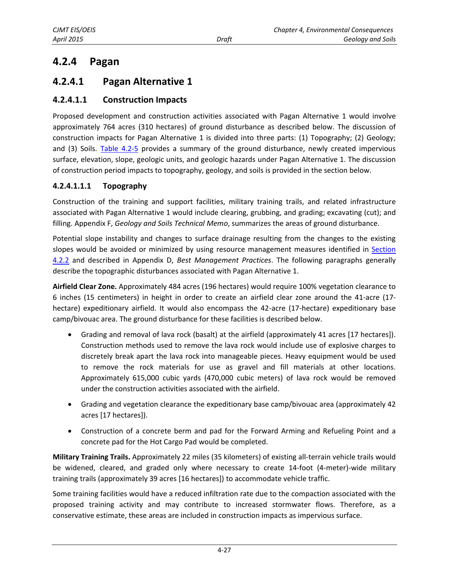## **4.2.4 Pagan**

## **4.2.4.1 Pagan Alternative 1**

### **4.2.4.1.1 Construction Impacts**

Proposed development and construction activities associated with Pagan Alternative 1 would involve approximately 764 acres (310 hectares) of ground disturbance as described below. The discussion of construction impacts for Pagan Alternative 1 is divided into three parts: (1) Topography; (2) Geology; and (3) Soils. [Table 4.2-5](#page-24-0) provides a summary of the ground disturbance, newly created impervious surface, elevation, slope, geologic units, and geologic hazards under Pagan Alternative 1. The discussion of construction period impacts to topography, geology, and soils is provided in the section below.

### **4.2.4.1.1.1 Topography**

Construction of the training and support facilities, military training trails, and related infrastructure associated with Pagan Alternative 1 would include clearing, grubbing, and grading; excavating (cut); and filling. Appendix F, *Geology and Soils Technical Memo*, summarizes the areas of ground disturbance.

Potential slope instability and changes to surface drainage resulting from the changes to the existing slopes would be avoided or minimized by using resource management measures identified in [Section](#page-1-0)  [4.2.2](#page-1-0) and described in Appendix D, *Best Management Practices*. The following paragraphs generally describe the topographic disturbances associated with Pagan Alternative 1.

**Airfield Clear Zone.** Approximately 484 acres (196 hectares) would require 100% vegetation clearance to 6 inches (15 centimeters) in height in order to create an airfield clear zone around the 41-acre (17 hectare) expeditionary airfield. It would also encompass the 42-acre (17-hectare) expeditionary base camp/bivouac area. The ground disturbance for these facilities is described below.

- Grading and removal of lava rock (basalt) at the airfield (approximately 41 acres [17 hectares]). Construction methods used to remove the lava rock would include use of explosive charges to discretely break apart the lava rock into manageable pieces. Heavy equipment would be used to remove the rock materials for use as gravel and fill materials at other locations. Approximately 615,000 cubic yards (470,000 cubic meters) of lava rock would be removed under the construction activities associated with the airfield.
- Grading and vegetation clearance the expeditionary base camp/bivouac area (approximately 42 acres [17 hectares]).
- Construction of a concrete berm and pad for the Forward Arming and Refueling Point and a concrete pad for the Hot Cargo Pad would be completed.

**Military Training Trails.** Approximately 22 miles (35 kilometers) of existing all-terrain vehicle trails would be widened, cleared, and graded only where necessary to create 14-foot (4-meter)-wide military training trails (approximately 39 acres [16 hectares]) to accommodate vehicle traffic.

Some training facilities would have a reduced infiltration rate due to the compaction associated with the proposed training activity and may contribute to increased stormwater flows. Therefore, as a conservative estimate, these areas are included in construction impacts as impervious surface.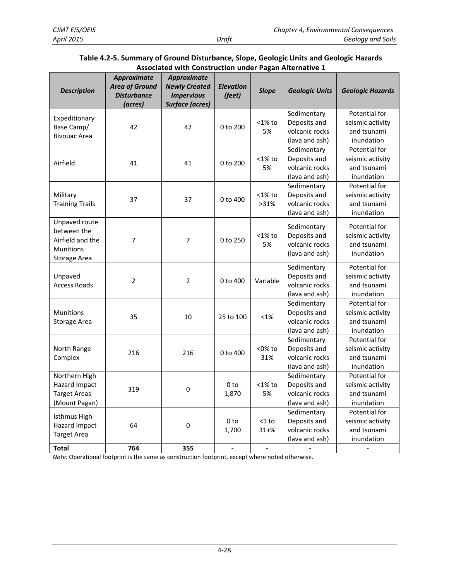<span id="page-24-0"></span>

| <b>Description</b>     | Approximate<br><b>Area of Ground</b><br><b>Disturbance</b><br>(acres) | Approximate<br><b>Newly Created</b><br><b>Impervious</b><br><b>Surface (acres)</b> | <b>Elevation</b><br>(feet) | <b>Slope</b> | <b>Geologic Units</b>          | <b>Geologic Hazards</b>         |
|------------------------|-----------------------------------------------------------------------|------------------------------------------------------------------------------------|----------------------------|--------------|--------------------------------|---------------------------------|
| Expeditionary          |                                                                       |                                                                                    |                            |              | Sedimentary                    | Potential for                   |
| Base Camp/             | 42                                                                    | 42                                                                                 | $0$ to $200$               | $<$ 1% to    | Deposits and                   | seismic activity                |
| <b>Bivouac Area</b>    |                                                                       |                                                                                    |                            | 5%           | volcanic rocks                 | and tsunami                     |
|                        |                                                                       |                                                                                    |                            |              | (lava and ash)                 | inundation                      |
|                        |                                                                       |                                                                                    |                            |              | Sedimentary                    | Potential for                   |
| Airfield               | 41                                                                    | 41                                                                                 | 0 to 200                   | $<$ 1% to    | Deposits and                   | seismic activity                |
|                        |                                                                       |                                                                                    |                            | 5%           | volcanic rocks                 | and tsunami                     |
|                        |                                                                       |                                                                                    |                            |              | (lava and ash)                 | inundation                      |
|                        |                                                                       |                                                                                    |                            |              | Sedimentary                    | Potential for                   |
| Military               | 37                                                                    | 37                                                                                 | 0 to 400                   | $<$ 1% to    | Deposits and<br>volcanic rocks | seismic activity                |
| <b>Training Trails</b> |                                                                       |                                                                                    |                            | >31%         |                                | and tsunami                     |
| Unpaved route          |                                                                       |                                                                                    |                            |              | (lava and ash)                 | inundation                      |
| between the            |                                                                       |                                                                                    |                            |              | Sedimentary                    | Potential for                   |
| Airfield and the       | $\overline{7}$                                                        | $\overline{7}$                                                                     | 0 to 250                   | $<$ 1% to    | Deposits and                   | seismic activity                |
| <b>Munitions</b>       |                                                                       |                                                                                    |                            | 5%           | volcanic rocks                 | and tsunami                     |
| Storage Area           |                                                                       |                                                                                    |                            |              | (lava and ash)                 | inundation                      |
|                        |                                                                       |                                                                                    |                            |              | Sedimentary                    | Potential for                   |
| Unpaved                | $\mathbf 2$                                                           | $\mathbf 2$                                                                        | 0 to 400                   | Variable     | Deposits and                   | seismic activity                |
| <b>Access Roads</b>    |                                                                       |                                                                                    |                            |              | volcanic rocks                 | and tsunami                     |
|                        |                                                                       |                                                                                    |                            |              | (lava and ash)                 | inundation                      |
|                        |                                                                       |                                                                                    |                            |              | Sedimentary                    | Potential for                   |
| <b>Munitions</b>       | 35                                                                    | 10                                                                                 | 25 to 100                  | $< 1\%$      | Deposits and                   | seismic activity                |
| <b>Storage Area</b>    |                                                                       |                                                                                    |                            |              | volcanic rocks                 | and tsunami                     |
|                        |                                                                       |                                                                                    |                            |              | (lava and ash)                 | inundation                      |
|                        |                                                                       |                                                                                    |                            |              | Sedimentary                    | Potential for                   |
| North Range            | 216                                                                   | 216                                                                                | 0 to 400                   | <0% to       | Deposits and                   | seismic activity                |
| Complex                |                                                                       |                                                                                    |                            | 31%          | volcanic rocks                 | and tsunami                     |
|                        |                                                                       |                                                                                    |                            |              | (lava and ash)                 | inundation                      |
| Northern High          |                                                                       |                                                                                    |                            |              | Sedimentary                    | Potential for                   |
| Hazard Impact          | 319                                                                   | $\mathbf 0$                                                                        | 0 <sub>to</sub>            | $<$ 1% to    | Deposits and                   | seismic activity                |
| <b>Target Areas</b>    |                                                                       |                                                                                    | 1,870                      | 5%           | volcanic rocks                 | and tsunami                     |
| (Mount Pagan)          |                                                                       |                                                                                    |                            |              | (lava and ash)                 | inundation                      |
| Isthmus High           |                                                                       |                                                                                    |                            |              | Sedimentary                    | Potential for                   |
| Hazard Impact          | 64                                                                    | $\mathbf 0$                                                                        | 0 <sub>to</sub>            | $<$ 1 to     | Deposits and<br>volcanic rocks | seismic activity<br>and tsunami |
| <b>Target Area</b>     |                                                                       |                                                                                    | 1,700                      | $31 + \%$    | (lava and ash)                 | inundation                      |
|                        |                                                                       |                                                                                    |                            |              |                                |                                 |

#### **Table 4.2-5. Summary of Ground Disturbance, Slope, Geologic Units and Geologic Hazards Associated with Construction under Pagan Alternative 1**

*Note:* Operational footprint is the same as construction footprint, except where noted otherwise.

**Total 764 355 - - - -**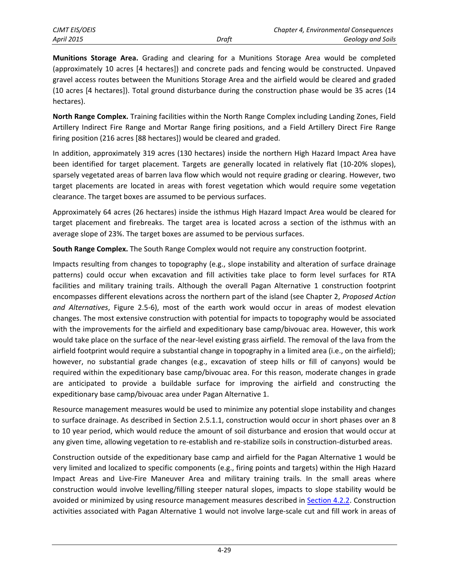**Munitions Storage Area.** Grading and clearing for a Munitions Storage Area would be completed (approximately 10 acres [4 hectares]) and concrete pads and fencing would be constructed. Unpaved gravel access routes between the Munitions Storage Area and the airfield would be cleared and graded (10 acres [4 hectares]). Total ground disturbance during the construction phase would be 35 acres (14 hectares).

**North Range Complex.** Training facilities within the North Range Complex including Landing Zones, Field Artillery Indirect Fire Range and Mortar Range firing positions, and a Field Artillery Direct Fire Range firing position (216 acres [88 hectares]) would be cleared and graded.

In addition, approximately 319 acres (130 hectares) inside the northern High Hazard Impact Area have been identified for target placement. Targets are generally located in relatively flat (10-20% slopes), sparsely vegetated areas of barren lava flow which would not require grading or clearing. However, two target placements are located in areas with forest vegetation which would require some vegetation clearance. The target boxes are assumed to be pervious surfaces.

Approximately 64 acres (26 hectares) inside the isthmus High Hazard Impact Area would be cleared for target placement and firebreaks. The target area is located across a section of the isthmus with an average slope of 23%. The target boxes are assumed to be pervious surfaces.

**South Range Complex.** The South Range Complex would not require any construction footprint.

Impacts resulting from changes to topography (e.g., slope instability and alteration of surface drainage patterns) could occur when excavation and fill activities take place to form level surfaces for RTA facilities and military training trails. Although the overall Pagan Alternative 1 construction footprint encompasses different elevations across the northern part of the island (see Chapter 2, *Proposed Action and Alternatives*, Figure 2.5-6), most of the earth work would occur in areas of modest elevation changes. The most extensive construction with potential for impacts to topography would be associated with the improvements for the airfield and expeditionary base camp/bivouac area. However, this work would take place on the surface of the near-level existing grass airfield. The removal of the lava from the airfield footprint would require a substantial change in topography in a limited area (i.e., on the airfield); however, no substantial grade changes (e.g., excavation of steep hills or fill of canyons) would be required within the expeditionary base camp/bivouac area. For this reason, moderate changes in grade are anticipated to provide a buildable surface for improving the airfield and constructing the expeditionary base camp/bivouac area under Pagan Alternative 1.

Resource management measures would be used to minimize any potential slope instability and changes to surface drainage. As described in Section 2.5.1.1, construction would occur in short phases over an 8 to 10 year period, which would reduce the amount of soil disturbance and erosion that would occur at any given time, allowing vegetation to re-establish and re-stabilize soils in construction-disturbed areas.

Construction outside of the expeditionary base camp and airfield for the Pagan Alternative 1 would be very limited and localized to specific components (e.g., firing points and targets) within the High Hazard Impact Areas and Live-Fire Maneuver Area and military training trails. In the small areas where construction would involve levelling/filling steeper natural slopes, impacts to slope stability would be avoided or minimized by using resource management measures described in [Section 4.2.2.](#page-1-0) Construction activities associated with Pagan Alternative 1 would not involve large-scale cut and fill work in areas of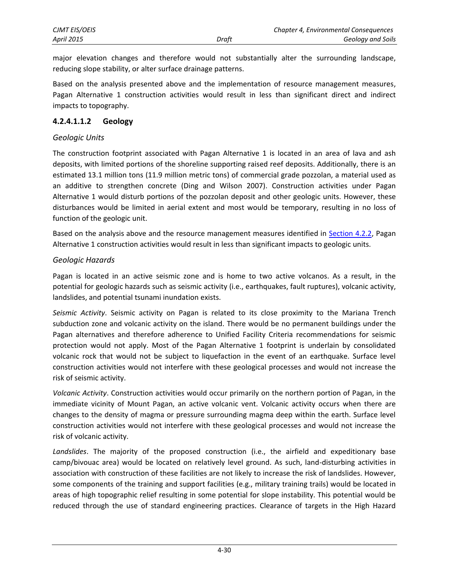major elevation changes and therefore would not substantially alter the surrounding landscape, reducing slope stability, or alter surface drainage patterns.

Based on the analysis presented above and the implementation of resource management measures, Pagan Alternative 1 construction activities would result in less than significant direct and indirect impacts to topography.

#### **4.2.4.1.1.2 Geology**

#### *Geologic Units*

The construction footprint associated with Pagan Alternative 1 is located in an area of lava and ash deposits, with limited portions of the shoreline supporting raised reef deposits. Additionally, there is an estimated 13.1 million tons (11.9 million metric tons) of commercial grade pozzolan, a material used as an additive to strengthen concrete (Ding and Wilson 2007). Construction activities under Pagan Alternative 1 would disturb portions of the pozzolan deposit and other geologic units. However, these disturbances would be limited in aerial extent and most would be temporary, resulting in no loss of function of the geologic unit.

Based on the analysis above and the resource management measures identified in [Section 4.2.2,](#page-1-0) Pagan Alternative 1 construction activities would result in less than significant impacts to geologic units.

#### *Geologic Hazards*

Pagan is located in an active seismic zone and is home to two active volcanos. As a result, in the potential for geologic hazards such as seismic activity (i.e., earthquakes, fault ruptures), volcanic activity, landslides, and potential tsunami inundation exists.

*Seismic Activity*. Seismic activity on Pagan is related to its close proximity to the Mariana Trench subduction zone and volcanic activity on the island. There would be no permanent buildings under the Pagan alternatives and therefore adherence to Unified Facility Criteria recommendations for seismic protection would not apply. Most of the Pagan Alternative 1 footprint is underlain by consolidated volcanic rock that would not be subject to liquefaction in the event of an earthquake. Surface level construction activities would not interfere with these geological processes and would not increase the risk of seismic activity.

*Volcanic Activity*. Construction activities would occur primarily on the northern portion of Pagan, in the immediate vicinity of Mount Pagan, an active volcanic vent. Volcanic activity occurs when there are changes to the density of magma or pressure surrounding magma deep within the earth. Surface level construction activities would not interfere with these geological processes and would not increase the risk of volcanic activity.

*Landslides*. The majority of the proposed construction (i.e., the airfield and expeditionary base camp/bivouac area) would be located on relatively level ground. As such, land-disturbing activities in association with construction of these facilities are not likely to increase the risk of landslides. However, some components of the training and support facilities (e.g., military training trails) would be located in areas of high topographic relief resulting in some potential for slope instability. This potential would be reduced through the use of standard engineering practices. Clearance of targets in the High Hazard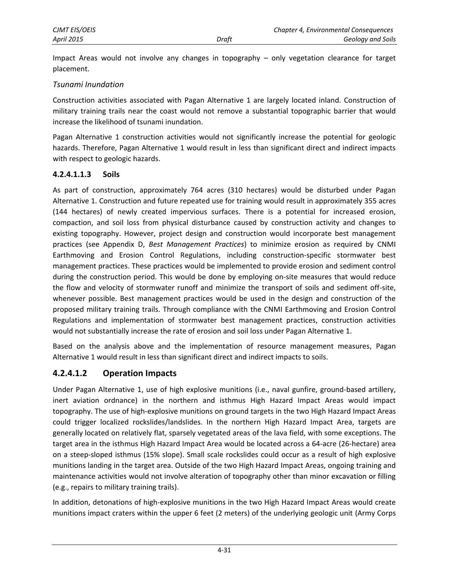Impact Areas would not involve any changes in topography – only vegetation clearance for target placement.

#### *Tsunami Inundation*

Construction activities associated with Pagan Alternative 1 are largely located inland. Construction of military training trails near the coast would not remove a substantial topographic barrier that would increase the likelihood of tsunami inundation.

Pagan Alternative 1 construction activities would not significantly increase the potential for geologic hazards. Therefore, Pagan Alternative 1 would result in less than significant direct and indirect impacts with respect to geologic hazards.

#### **4.2.4.1.1.3 Soils**

As part of construction, approximately 764 acres (310 hectares) would be disturbed under Pagan Alternative 1. Construction and future repeated use for training would result in approximately 355 acres (144 hectares) of newly created impervious surfaces. There is a potential for increased erosion, compaction, and soil loss from physical disturbance caused by construction activity and changes to existing topography. However, project design and construction would incorporate best management practices (see Appendix D, *Best Management Practices*) to minimize erosion as required by CNMI Earthmoving and Erosion Control Regulations, including construction-specific stormwater best management practices. These practices would be implemented to provide erosion and sediment control during the construction period. This would be done by employing on-site measures that would reduce the flow and velocity of stormwater runoff and minimize the transport of soils and sediment off-site, whenever possible. Best management practices would be used in the design and construction of the proposed military training trails. Through compliance with the CNMI Earthmoving and Erosion Control Regulations and implementation of stormwater best management practices, construction activities would not substantially increase the rate of erosion and soil loss under Pagan Alternative 1.

Based on the analysis above and the implementation of resource management measures, Pagan Alternative 1 would result in less than significant direct and indirect impacts to soils.

### **4.2.4.1.2 Operation Impacts**

Under Pagan Alternative 1, use of high explosive munitions (i.e., naval gunfire, ground-based artillery, inert aviation ordnance) in the northern and isthmus High Hazard Impact Areas would impact topography. The use of high-explosive munitions on ground targets in the two High Hazard Impact Areas could trigger localized rockslides/landslides. In the northern High Hazard Impact Area, targets are generally located on relatively flat, sparsely vegetated areas of the lava field, with some exceptions. The target area in the isthmus High Hazard Impact Area would be located across a 64-acre (26-hectare) area on a steep-sloped isthmus (15% slope). Small scale rockslides could occur as a result of high explosive munitions landing in the target area. Outside of the two High Hazard Impact Areas, ongoing training and maintenance activities would not involve alteration of topography other than minor excavation or filling (e.g., repairs to military training trails).

In addition, detonations of high-explosive munitions in the two High Hazard Impact Areas would create munitions impact craters within the upper 6 feet (2 meters) of the underlying geologic unit (Army Corps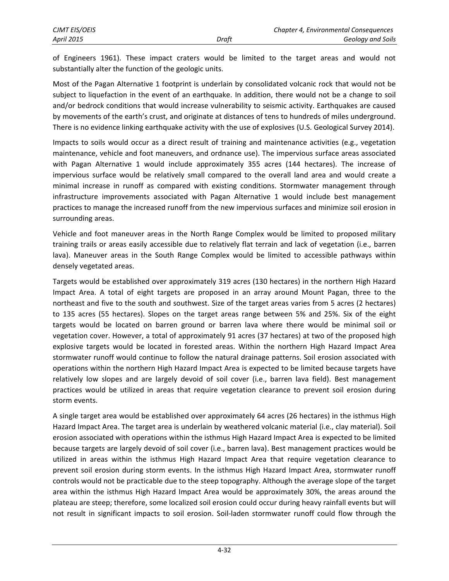of Engineers 1961). These impact craters would be limited to the target areas and would not substantially alter the function of the geologic units.

Most of the Pagan Alternative 1 footprint is underlain by consolidated volcanic rock that would not be subject to liquefaction in the event of an earthquake. In addition, there would not be a change to soil and/or bedrock conditions that would increase vulnerability to seismic activity. Earthquakes are caused by movements of the earth's crust, and originate at distances of tens to hundreds of miles underground. There is no evidence linking earthquake activity with the use of explosives (U.S. Geological Survey 2014).

Impacts to soils would occur as a direct result of training and maintenance activities (e.g., vegetation maintenance, vehicle and foot maneuvers, and ordnance use). The impervious surface areas associated with Pagan Alternative 1 would include approximately 355 acres (144 hectares). The increase of impervious surface would be relatively small compared to the overall land area and would create a minimal increase in runoff as compared with existing conditions. Stormwater management through infrastructure improvements associated with Pagan Alternative 1 would include best management practices to manage the increased runoff from the new impervious surfaces and minimize soil erosion in surrounding areas.

Vehicle and foot maneuver areas in the North Range Complex would be limited to proposed military training trails or areas easily accessible due to relatively flat terrain and lack of vegetation (i.e., barren lava). Maneuver areas in the South Range Complex would be limited to accessible pathways within densely vegetated areas.

Targets would be established over approximately 319 acres (130 hectares) in the northern High Hazard Impact Area. A total of eight targets are proposed in an array around Mount Pagan, three to the northeast and five to the south and southwest. Size of the target areas varies from 5 acres (2 hectares) to 135 acres (55 hectares). Slopes on the target areas range between 5% and 25%. Six of the eight targets would be located on barren ground or barren lava where there would be minimal soil or vegetation cover. However, a total of approximately 91 acres (37 hectares) at two of the proposed high explosive targets would be located in forested areas. Within the northern High Hazard Impact Area stormwater runoff would continue to follow the natural drainage patterns. Soil erosion associated with operations within the northern High Hazard Impact Area is expected to be limited because targets have relatively low slopes and are largely devoid of soil cover (i.e., barren lava field). Best management practices would be utilized in areas that require vegetation clearance to prevent soil erosion during storm events.

A single target area would be established over approximately 64 acres (26 hectares) in the isthmus High Hazard Impact Area. The target area is underlain by weathered volcanic material (i.e., clay material). Soil erosion associated with operations within the isthmus High Hazard Impact Area is expected to be limited because targets are largely devoid of soil cover (i.e., barren lava). Best management practices would be utilized in areas within the isthmus High Hazard Impact Area that require vegetation clearance to prevent soil erosion during storm events. In the isthmus High Hazard Impact Area, stormwater runoff controls would not be practicable due to the steep topography. Although the average slope of the target area within the isthmus High Hazard Impact Area would be approximately 30%, the areas around the plateau are steep; therefore, some localized soil erosion could occur during heavy rainfall events but will not result in significant impacts to soil erosion. Soil-laden stormwater runoff could flow through the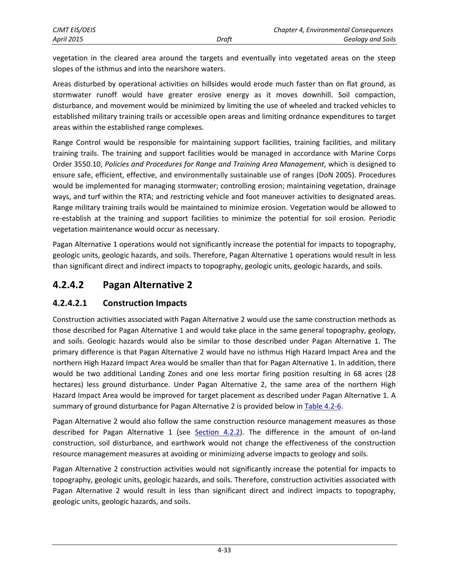vegetation in the cleared area around the targets and eventually into vegetated areas on the steep slopes of the isthmus and into the nearshore waters.

Areas disturbed by operational activities on hillsides would erode much faster than on flat ground, as stormwater runoff would have greater erosive energy as it moves downhill. Soil compaction, disturbance, and movement would be minimized by limiting the use of wheeled and tracked vehicles to established military training trails or accessible open areas and limiting ordnance expenditures to target areas within the established range complexes.

Range Control would be responsible for maintaining support facilities, training facilities, and military training trails. The training and support facilities would be managed in accordance with Marine Corps Order 3550.10, *Policies and Procedures for Range and Training Area Management*, which is designed to ensure safe, efficient, effective, and environmentally sustainable use of ranges (DoN 2005). Procedures would be implemented for managing stormwater; controlling erosion; maintaining vegetation, drainage ways, and turf within the RTA; and restricting vehicle and foot maneuver activities to designated areas. Range military training trails would be maintained to minimize erosion. Vegetation would be allowed to re-establish at the training and support facilities to minimize the potential for soil erosion. Periodic vegetation maintenance would occur as necessary.

Pagan Alternative 1 operations would not significantly increase the potential for impacts to topography, geologic units, geologic hazards, and soils. Therefore, Pagan Alternative 1 operations would result in less than significant direct and indirect impacts to topography, geologic units, geologic hazards, and soils.

## **4.2.4.2 Pagan Alternative 2**

## **4.2.4.2.1 Construction Impacts**

Construction activities associated with Pagan Alternative 2 would use the same construction methods as those described for Pagan Alternative 1 and would take place in the same general topography, geology, and soils. Geologic hazards would also be similar to those described under Pagan Alternative 1. The primary difference is that Pagan Alternative 2 would have no isthmus High Hazard Impact Area and the northern High Hazard Impact Area would be smaller than that for Pagan Alternative 1. In addition, there would be two additional Landing Zones and one less mortar firing position resulting in 68 acres (28 hectares) less ground disturbance. Under Pagan Alternative 2, the same area of the northern High Hazard Impact Area would be improved for target placement as described under Pagan Alternative 1. A summary of ground disturbance for Pagan Alternative 2 is provided below i[n Table 4.2-6.](#page-30-0)

Pagan Alternative 2 would also follow the same construction resource management measures as those described for Pagan Alternative 1 (see [Section 4.2.2\)](#page-1-0). The difference in the amount of on-land construction, soil disturbance, and earthwork would not change the effectiveness of the construction resource management measures at avoiding or minimizing adverse impacts to geology and soils.

Pagan Alternative 2 construction activities would not significantly increase the potential for impacts to topography, geologic units, geologic hazards, and soils. Therefore, construction activities associated with Pagan Alternative 2 would result in less than significant direct and indirect impacts to topography, geologic units, geologic hazards, and soils.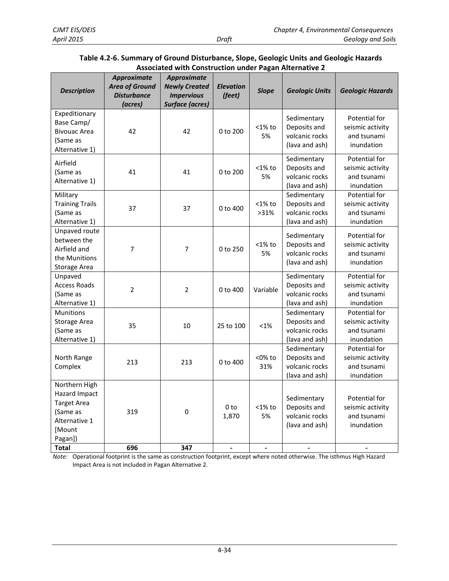<span id="page-30-0"></span>

| <b>Description</b>                                                                                     | Approximate<br><b>Area of Ground</b><br><b>Disturbance</b><br>(acres) | Approximate<br><b>Newly Created</b><br><b>Impervious</b><br><b>Surface (acres)</b> | <b>Elevation</b><br>(feet) | <b>Slope</b>      | <b>Geologic Units</b>                                           | <b>Geologic Hazards</b>                                        |
|--------------------------------------------------------------------------------------------------------|-----------------------------------------------------------------------|------------------------------------------------------------------------------------|----------------------------|-------------------|-----------------------------------------------------------------|----------------------------------------------------------------|
| Expeditionary<br>Base Camp/<br><b>Bivouac Area</b><br>(Same as<br>Alternative 1)                       | 42                                                                    | 42                                                                                 | 0 to 200                   | $<$ 1% to<br>5%   | Sedimentary<br>Deposits and<br>volcanic rocks<br>(lava and ash) | Potential for<br>seismic activity<br>and tsunami<br>inundation |
| Airfield<br>(Same as<br>Alternative 1)                                                                 | 41                                                                    | 41                                                                                 | $0$ to $200$               | $<$ 1% to<br>5%   | Sedimentary<br>Deposits and<br>volcanic rocks<br>(lava and ash) | Potential for<br>seismic activity<br>and tsunami<br>inundation |
| Military<br><b>Training Trails</b><br>(Same as<br>Alternative 1)                                       | 37                                                                    | 37                                                                                 | 0 to 400                   | $<$ 1% to<br>>31% | Sedimentary<br>Deposits and<br>volcanic rocks<br>(lava and ash) | Potential for<br>seismic activity<br>and tsunami<br>inundation |
| Unpaved route<br>between the<br>Airfield and<br>the Munitions<br><b>Storage Area</b>                   | $\overline{7}$                                                        | 7                                                                                  | 0 to 250                   | $<$ 1% to<br>5%   | Sedimentary<br>Deposits and<br>volcanic rocks<br>(lava and ash) | Potential for<br>seismic activity<br>and tsunami<br>inundation |
| Unpaved<br><b>Access Roads</b><br>(Same as<br>Alternative 1)                                           | $\overline{2}$                                                        | $\mathbf 2$                                                                        | 0 to 400                   | Variable          | Sedimentary<br>Deposits and<br>volcanic rocks<br>(lava and ash) | Potential for<br>seismic activity<br>and tsunami<br>inundation |
| Munitions<br>Storage Area<br>(Same as<br>Alternative 1)                                                | 35                                                                    | 10                                                                                 | 25 to 100                  | $< 1\%$           | Sedimentary<br>Deposits and<br>volcanic rocks<br>(lava and ash) | Potential for<br>seismic activity<br>and tsunami<br>inundation |
| North Range<br>Complex                                                                                 | 213                                                                   | 213                                                                                | $0$ to $400$               | $<$ 0% to<br>31%  | Sedimentary<br>Deposits and<br>volcanic rocks<br>(lava and ash) | Potential for<br>seismic activity<br>and tsunami<br>inundation |
| Northern High<br>Hazard Impact<br><b>Target Area</b><br>(Same as<br>Alternative 1<br>[Mount<br>Pagan]) | 319                                                                   | 0                                                                                  | 0 <sub>to</sub><br>1,870   | $<$ 1% to<br>5%   | Sedimentary<br>Deposits and<br>volcanic rocks<br>(lava and ash) | Potential for<br>seismic activity<br>and tsunami<br>inundation |
| Total                                                                                                  | 696                                                                   | 347                                                                                |                            |                   |                                                                 |                                                                |

### **Table 4.2-6. Summary of Ground Disturbance, Slope, Geologic Units and Geologic Hazards Associated with Construction under Pagan Alternative 2**

*Note:* Operational footprint is the same as construction footprint, except where noted otherwise. The isthmus High Hazard Impact Area is not included in Pagan Alternative 2.